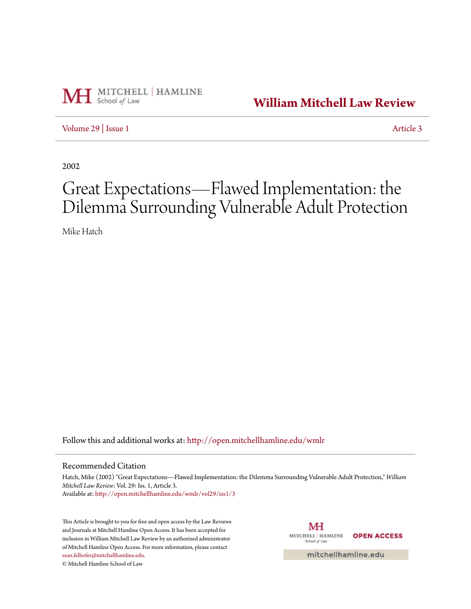

**[William Mitchell Law Review](http://open.mitchellhamline.edu/wmlr?utm_source=open.mitchellhamline.edu%2Fwmlr%2Fvol29%2Fiss1%2F3&utm_medium=PDF&utm_campaign=PDFCoverPages)**

[Volume 29](http://open.mitchellhamline.edu/wmlr/vol29?utm_source=open.mitchellhamline.edu%2Fwmlr%2Fvol29%2Fiss1%2F3&utm_medium=PDF&utm_campaign=PDFCoverPages) | [Issue 1](http://open.mitchellhamline.edu/wmlr/vol29/iss1?utm_source=open.mitchellhamline.edu%2Fwmlr%2Fvol29%2Fiss1%2F3&utm_medium=PDF&utm_campaign=PDFCoverPages) [Article 3](http://open.mitchellhamline.edu/wmlr/vol29/iss1/3?utm_source=open.mitchellhamline.edu%2Fwmlr%2Fvol29%2Fiss1%2F3&utm_medium=PDF&utm_campaign=PDFCoverPages)

2002

# Great Expectations—Flawed Implementation: the Dilemma Surrounding Vulnerable Adult Protection

Mike Hatch

Follow this and additional works at: [http://open.mitchellhamline.edu/wmlr](http://open.mitchellhamline.edu/wmlr?utm_source=open.mitchellhamline.edu%2Fwmlr%2Fvol29%2Fiss1%2F3&utm_medium=PDF&utm_campaign=PDFCoverPages)

# Recommended Citation

Hatch, Mike (2002) "Great Expectations—Flawed Implementation: the Dilemma Surrounding Vulnerable Adult Protection," *William Mitchell Law Review*: Vol. 29: Iss. 1, Article 3. Available at: [http://open.mitchellhamline.edu/wmlr/vol29/iss1/3](http://open.mitchellhamline.edu/wmlr/vol29/iss1/3?utm_source=open.mitchellhamline.edu%2Fwmlr%2Fvol29%2Fiss1%2F3&utm_medium=PDF&utm_campaign=PDFCoverPages)

This Article is brought to you for free and open access by the Law Reviews and Journals at Mitchell Hamline Open Access. It has been accepted for inclusion in William Mitchell Law Review by an authorized administrator of Mitchell Hamline Open Access. For more information, please contact [sean.felhofer@mitchellhamline.edu](mailto:sean.felhofer@mitchellhamline.edu).

© Mitchell Hamline School of Law

MH MITCHELL | HAMLINE **OPEN ACCESS** School of Law

mitchellhamline.edu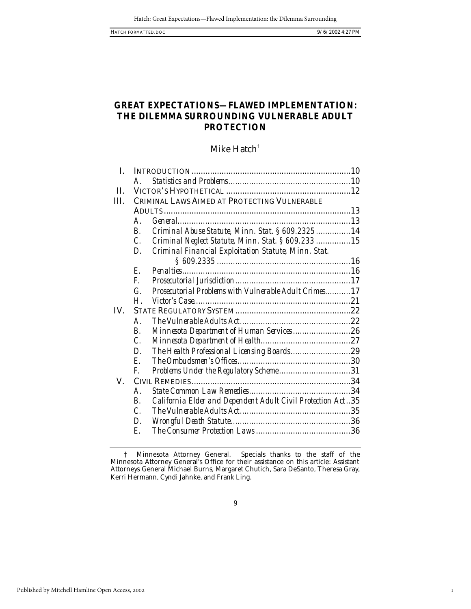1

# **GREAT EXPECTATIONS—FLAWED IMPLEMENTATION: THE DILEMMA SURROUNDING VULNERABLE ADULT PROTECTION**

# Mike Hatch<sup>†</sup>

| CRIMINAL LAWS AIMED AT PROTECTING VULNERABLE                |                                                                                                                                                                                                                                                                                                                                                             |
|-------------------------------------------------------------|-------------------------------------------------------------------------------------------------------------------------------------------------------------------------------------------------------------------------------------------------------------------------------------------------------------------------------------------------------------|
|                                                             |                                                                                                                                                                                                                                                                                                                                                             |
|                                                             |                                                                                                                                                                                                                                                                                                                                                             |
|                                                             |                                                                                                                                                                                                                                                                                                                                                             |
|                                                             |                                                                                                                                                                                                                                                                                                                                                             |
|                                                             |                                                                                                                                                                                                                                                                                                                                                             |
|                                                             |                                                                                                                                                                                                                                                                                                                                                             |
|                                                             |                                                                                                                                                                                                                                                                                                                                                             |
|                                                             |                                                                                                                                                                                                                                                                                                                                                             |
|                                                             |                                                                                                                                                                                                                                                                                                                                                             |
|                                                             |                                                                                                                                                                                                                                                                                                                                                             |
|                                                             |                                                                                                                                                                                                                                                                                                                                                             |
|                                                             |                                                                                                                                                                                                                                                                                                                                                             |
|                                                             |                                                                                                                                                                                                                                                                                                                                                             |
|                                                             |                                                                                                                                                                                                                                                                                                                                                             |
|                                                             |                                                                                                                                                                                                                                                                                                                                                             |
|                                                             |                                                                                                                                                                                                                                                                                                                                                             |
|                                                             |                                                                                                                                                                                                                                                                                                                                                             |
|                                                             |                                                                                                                                                                                                                                                                                                                                                             |
|                                                             |                                                                                                                                                                                                                                                                                                                                                             |
| California Elder and Dependent Adult Civil Protection Act35 |                                                                                                                                                                                                                                                                                                                                                             |
|                                                             |                                                                                                                                                                                                                                                                                                                                                             |
|                                                             |                                                                                                                                                                                                                                                                                                                                                             |
|                                                             |                                                                                                                                                                                                                                                                                                                                                             |
|                                                             | Criminal Abuse Statute, Minn. Stat. § 609.232514<br>Criminal Neglect Statute, Minn. Stat. § 609.233 15<br>Criminal Financial Exploitation Statute, Minn. Stat.<br>Prosecutorial Problems with Vulnerable Adult Crimes17<br>Minnesota Department of Human Services26<br>The Health Professional Licensing Boards29<br>Problems Under the Regulatory Scheme31 |

<sup>†</sup> Minnesota Attorney General. Specials thanks to the staff of the Minnesota Attorney General's Office for their assistance on this article: Assistant Attorneys General Michael Burns, Margaret Chutich, Sara DeSanto, Theresa Gray, Kerri Hermann, Cyndi Jahnke, and Frank Ling.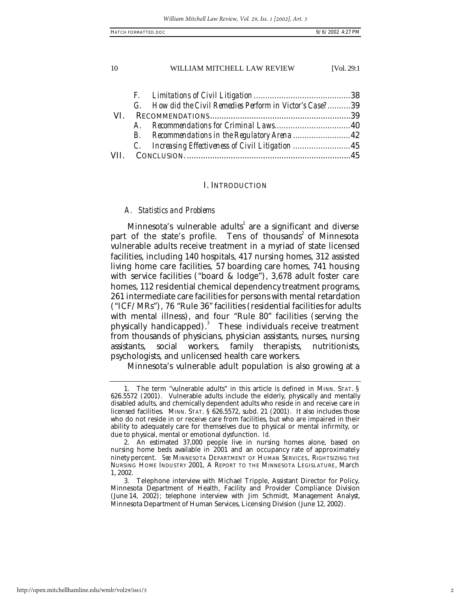| HATCH FORMATTED. DOC | $9/6/2002$ 4:27 PM |  |
|----------------------|--------------------|--|
|                      |                    |  |

| G. How did the Civil Remedies Perform in Victor's Case?39 |                                                    |
|-----------------------------------------------------------|----------------------------------------------------|
|                                                           |                                                    |
|                                                           |                                                    |
|                                                           |                                                    |
|                                                           |                                                    |
|                                                           |                                                    |
|                                                           | C. Increasing Effectiveness of Civil Litigation 45 |

## I. INTRODUCTION

## *A. Statistics and Problems*

Minnesota's vulnerable adults $^{\rm l}$  are a significant and diverse part of the state's profile. Tens of thousands<sup>2</sup> of Minnesota vulnerable adults receive treatment in a myriad of state licensed facilities, including 140 hospitals, 417 nursing homes, 312 assisted living home care facilities, 57 boarding care homes, 741 housing with service facilities ("board & lodge"), 3,678 adult foster care homes, 112 residential chemical dependency treatment programs, 261 intermediate care facilities for persons with mental retardation ("ICF/MRs"), 76 "Rule 36" facilities (residential facilities for adults with mental illness), and four "Rule 80" facilities (serving the physically handicapped).<sup>3</sup> These individuals receive treatment from thousands of physicians, physician assistants, nurses, nursing assistants, social workers, family therapists, nutritionists, psychologists, and unlicensed health care workers.

Minnesota's vulnerable adult population is also growing at a

<sup>1.</sup> The term "vulnerable adults" in this article is defined in MINN. STAT. § 626.5572 (2001). Vulnerable adults include the elderly, physically and mentally disabled adults, and chemically dependent adults who reside in and receive care in licensed facilities. MINN. STAT. § 626.5572, subd. 21 (2001). It also includes those who do not reside in or receive care from facilities, but who are impaired in their ability to adequately care for themselves due to physical or mental infirmity, or due to physical, mental or emotional dysfunction. *Id.*

<sup>2.</sup> An estimated 37,000 people live in nursing homes alone, based on nursing home beds available in 2001 and an occupancy rate of approximately ninety percent. *See* MINNESOTA DEPARTMENT OF HUMAN SERVICES, RIGHTSIZING THE NURSING HOME INDUSTRY 2001, A REPORT TO THE MINNESOTA LEGISLATURE, March 1, 2002.

<sup>3.</sup> Telephone interview with Michael Tripple, Assistant Director for Policy, Minnesota Department of Health, Facility and Provider Compliance Division (June 14, 2002); telephone interview with Jim Schmidt, Management Analyst, Minnesota Department of Human Services, Licensing Division (June 12, 2002).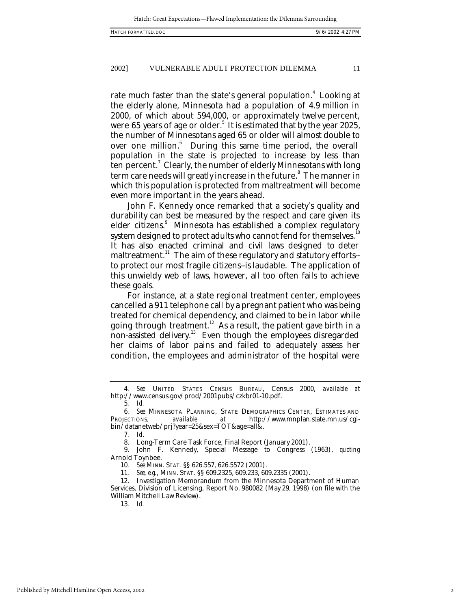rate much faster than the state's general population.<sup>4</sup> Looking at the elderly alone, Minnesota had a population of 4.9 million in 2000, of which about 594,000, or approximately twelve percent, were  $65$  years of age or older. $^5$  It is estimated that by the year 2025, the number of Minnesotans aged 65 or older will almost double to over one million.<sup>6</sup> During this same time period, the overall population in the state is projected to increase by less than  $\tan$  percent. $^7$  Clearly, the number of elderly Minnesotans with long term care needs will greatly increase in the future. $^{\rm 8}$  The manner in which this population is protected from maltreatment will become even more important in the years ahead.

John F. Kennedy once remarked that a society's quality and durability can best be measured by the respect and care given its elder citizens.<sup>9</sup> Minnesota has established a complex regulatory system designed to protect adults who cannot fend for themselves.<sup>1</sup> It has also enacted criminal and civil laws designed to deter maltreatment.<sup>11</sup> The aim of these regulatory and statutory efforts-to protect our most fragile citizens--is laudable. The application of this unwieldy web of laws, however, all too often fails to achieve these goals.

For instance, at a state regional treatment center, employees cancelled a 911 telephone call by a pregnant patient who was being treated for chemical dependency, and claimed to be in labor while going through treatment.<sup>12</sup> As a result, the patient gave birth in a non-assisted delivery.<sup>13</sup> Even though the employees disregarded her claims of labor pains and failed to adequately assess her condition, the employees and administrator of the hospital were

7*. Id*.

9. John F. Kennedy, Special Message to Congress (1963), *quoting*  Arnold Toynbee.

10*. See* MINN. STAT. §§ 626.557, 626.5572 (2001).

11*. See, e.g.,* MINN. STAT. §§ 609.2325, 609.233, 609.2335 (2001).

12. Investigation Memorandum from the Minnesota Department of Human Services, Division of Licensing, Report No. 980082 (May 29, 1998) (on file with the William Mitchell Law Review).

13*. Id.*

<sup>4</sup>*. See* UNITED STATES CENSUS BUREAU, Census 2000, *available at* http://www.census.gov/prod/2001pubs/czkbr01-10.pdf.

<sup>5</sup>*. Id.*

**<sup>6</sup>***. See* MINNESOTA PLANNING, STATE DEMOGRAPHICS CENTER, ESTIMATES AND PROJECTIONS, available at http://www.mnplan.state.mn.us/cgi*at* http://www.mnplan.state.mn.us/cgibin/datanetweb/prj?year=25&sex=TOT&age=all&.

Long-Term Care Task Force, Final Report (January 2001).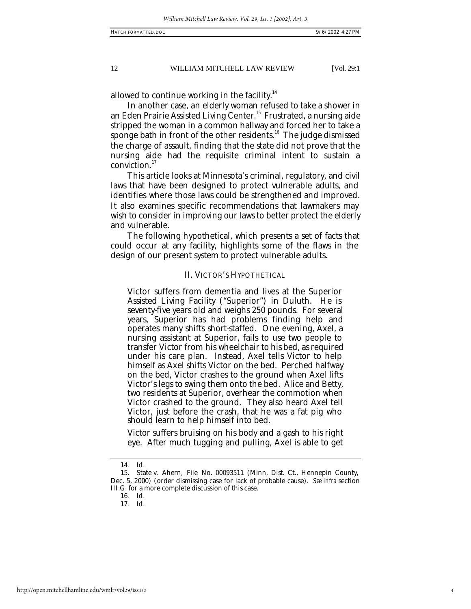allowed to continue working in the facility. $14$ 

In another case, an elderly woman refused to take a shower in an Eden Prairie Assisted Living Center.<sup>15</sup> Frustrated, a nursing aide stripped the woman in a common hallway and forced her to take a sponge bath in front of the other residents.<sup>16</sup> The judge dismissed the charge of assault, finding that the state did not prove that the nursing aide had the requisite criminal intent to sustain a conviction.<sup>17</sup>

This article looks at Minnesota's criminal, regulatory, and civil laws that have been designed to protect vulnerable adults, and identifies where those laws could be strengthened and improved. It also examines specific recommendations that lawmakers may wish to consider in improving our laws to better protect the elderly and vulnerable.

The following hypothetical, which presents a set of facts that could occur at any facility, highlights some of the flaws in the design of our present system to protect vulnerable adults.

# II. VICTOR'S HYPOTHETICAL

Victor suffers from dementia and lives at the Superior Assisted Living Facility ("Superior") in Duluth. He is seventy-five years old and weighs 250 pounds. For several years, Superior has had problems finding help and operates many shifts short-staffed. One evening, Axel, a nursing assistant at Superior, fails to use two people to transfer Victor from his wheelchair to his bed, as required under his care plan. Instead, Axel tells Victor to help himself as Axel shifts Victor on the bed. Perched halfway on the bed, Victor crashes to the ground when Axel lifts Victor's legs to swing them onto the bed. Alice and Betty, two residents at Superior, overhear the commotion when Victor crashed to the ground. They also heard Axel tell Victor, just before the crash, that he was a fat pig who should learn to help himself into bed.

Victor suffers bruising on his body and a gash to his right eye. After much tugging and pulling, Axel is able to get

4

<sup>14</sup>*. Id.*

<sup>15.</sup> State v. Ahern*,* File No. 00093511 (Minn. Dist. Ct., Hennepin County, Dec. 5, 2000) (order dismissing case for lack of probable cause). *See infra* section III.G. for a more complete discussion of this case.

<sup>16</sup>*. Id.*

<sup>17</sup>*. Id.*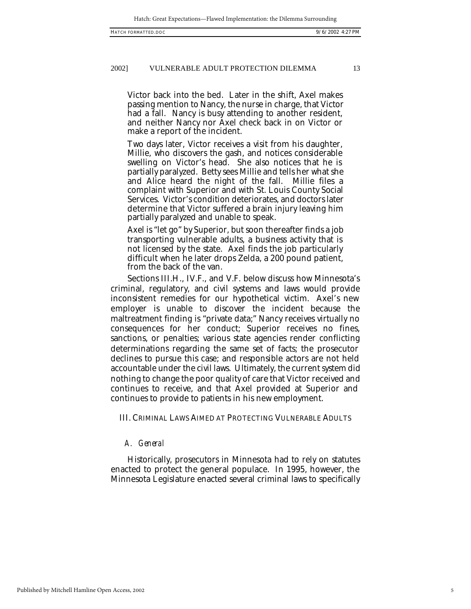Victor back into the bed. Later in the shift, Axel makes passing mention to Nancy, the nurse in charge, that Victor had a fall. Nancy is busy attending to another resident, and neither Nancy nor Axel check back in on Victor or make a report of the incident.

Two days later, Victor receives a visit from his daughter, Millie, who discovers the gash, and notices considerable swelling on Victor's head. She also notices that he is partially paralyzed. Betty sees Millie and tells her what she and Alice heard the night of the fall. Millie files a complaint with Superior and with St. Louis County Social Services. Victor's condition deteriorates, and doctors later determine that Victor suffered a brain injury leaving him partially paralyzed and unable to speak.

Axel is "let go" by Superior, but soon thereafter finds a job transporting vulnerable adults, a business activity that is not licensed by the state. Axel finds the job particularly difficult when he later drops Zelda, a 200 pound patient, from the back of the van.

Sections III.H., IV.F., and V.F. below discuss how Minnesota's criminal, regulatory, and civil systems and laws would provide inconsistent remedies for our hypothetical victim. Axel's new employer is unable to discover the incident because the maltreatment finding is "private data;" Nancy receives virtually no consequences for her conduct; Superior receives no fines, sanctions, or penalties; various state agencies render conflicting determinations regarding the same set of facts; the prosecutor declines to pursue this case; and responsible actors are not held accountable under the civil laws. Ultimately, the current system did nothing to change the poor quality of care that Victor received and continues to receive, and that Axel provided at Superior and continues to provide to patients in his new employment.

III. CRIMINAL LAWS AIMED AT PROTECTING VULNERABLE ADULTS

# *A. General*

Historically, prosecutors in Minnesota had to rely on statutes enacted to protect the general populace. In 1995, however, the Minnesota Legislature enacted several criminal laws to specifically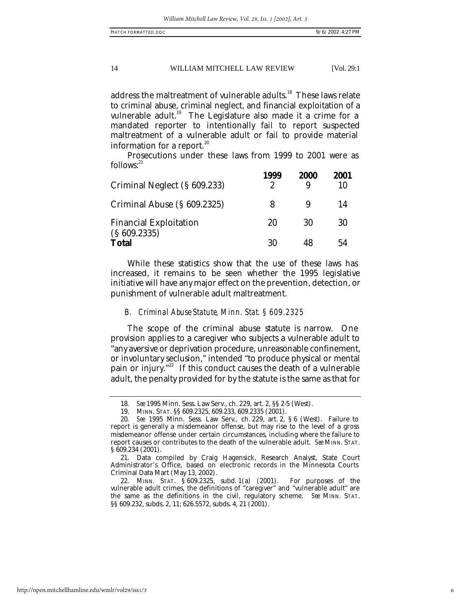address the maltreatment of vulnerable adults.<sup>18</sup> These laws relate to criminal abuse, criminal neglect, and financial exploitation of a vulnerable adult.<sup>19</sup> The Legislature also made it a crime for a mandated reporter to intentionally fail to report suspected maltreatment of a vulnerable adult or fail to provide material information for a report. $^{20}$ 

Prosecutions under these laws from 1999 to 2001 were as  $follows:<sup>21</sup>$ 

| Criminal Neglect (§ 609.233)                 | 1999<br>2 | <b>2000</b> | 2001<br>10 |
|----------------------------------------------|-----------|-------------|------------|
| Criminal Abuse (§ 609.2325)                  | 8         |             | 14         |
| <b>Financial Exploitation</b><br>(S609.2335) | 20        | 30          | 30         |
| <b>Total</b>                                 | 30        | 48          | 54         |

While these statistics show that the use of these laws has increased, it remains to be seen whether the 1995 legislative initiative will have any major effect on the prevention, detection, or punishment of vulnerable adult maltreatment.

## *B. Criminal Abuse Statute, Minn. Stat. § 609.2325*

The scope of the criminal abuse statute is narrow. One provision applies to a caregiver who subjects a vulnerable adult to "any aversive or deprivation procedure, unreasonable confinement, or involuntary seclusion," intended "to produce physical or mental pain or injury."<sup>22</sup> If this conduct causes the death of a vulnerable adult, the penalty provided for by the statute is the same as that for

<sup>18</sup>*. See* 1995 Minn. Sess. Law Serv., ch. 229, art. 2, §§ 2-5 (West).

<sup>19.</sup> MINN. STAT. §§ 609.2325, 609.233, 609.2335 (2001).

<sup>20</sup>*. See* 1995 Minn. Sess. Law Serv., ch. 229, art. 2, § 6 (West). Failure to report is generally a misdemeanor offense, but may rise to the level of a gross misdemeanor offense under certain circumstances, including where the failure to report causes or contributes to the death of the vulnerable adult. *See* MINN. STAT. § 609.234 (2001).

<sup>21.</sup> Data compiled by Craig Hagensick, Research Analyst, State Court Administrator's Office, based on electronic records in the Minnesota Courts Criminal Data Mart (May 13, 2002).

<sup>22.</sup> MINN. STAT. § 609.2325, subd. 1(a) (2001). For purposes of the vulnerable adult crimes, the definitions of "caregiver" and "vulnerable adult" are the same as the definitions in the civil, regulatory scheme. *See* MINN. STAT. §§ 609.232, subds. 2, 11; 626.5572, subds. 4, 21 (2001).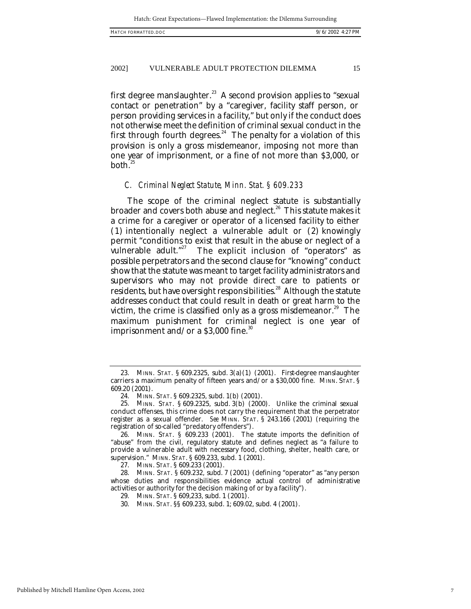first degree manslaughter. $^{23}$  A second provision applies to "sexual contact or penetration" by a "caregiver, facility staff person, or person providing services in a facility," but only if the conduct does not otherwise meet the definition of criminal sexual conduct in the first through fourth degrees. $^{24}$  The penalty for a violation of this provision is only a gross misdemeanor, imposing not more than one year of imprisonment, or a fine of not more than \$3,000, or  $both.<sup>25</sup>$ 

#### *C. Criminal Neglect Statute, Minn. Stat. § 609.233*

The scope of the criminal neglect statute is substantially broader and covers both abuse and neglect.<sup>26</sup> This statute makes it a crime for a caregiver or operator of a licensed facility to either (1) intentionally neglect a vulnerable adult or (2) knowingly permit "conditions to exist that result in the abuse or neglect of a vulnerable adult."<sup>27</sup> The explicit inclusion of "operators" as possible perpetrators and the second clause for "knowing" conduct show that the statute was meant to target facility administrators and supervisors who may not provide direct care to patients or residents, but have oversight responsibilities.<sup>28</sup> Although the statute addresses conduct that could result in death or great harm to the victim, the crime is classified only as a gross misdemeanor. $29$  The maximum punishment for criminal neglect is one year of imprisonment and/or a  $$3,000$  fine.<sup>30</sup>

<sup>23.</sup> MINN. STAT. § 609.2325, subd. 3(a)(1) (2001). First-degree manslaughter carriers a maximum penalty of fifteen years and/or a \$30,000 fine. MINN. STAT. § 609.20 (2001).

<sup>24.</sup> MINN. STAT. § 609.2325, subd. 1(b) (2001).

<sup>25.</sup> MINN. STAT. § 609.2325, subd. 3(b) (2000). Unlike the criminal sexual conduct offenses, this crime does not carry the requirement that the perpetrator register as a sexual offender. *See* MINN. STAT. § 243.166 (2001) (requiring the registration of so-called "predatory offenders").

<sup>26.</sup> MINN. STAT. § 609.233 (2001). The statute imports the definition of "abuse" from the civil, regulatory statute and defines neglect as "a failure to provide a vulnerable adult with necessary food, clothing, shelter, health care, or supervision." MINN. STAT. § 609.233, subd. 1 (2001).

<sup>27.</sup> MINN. STAT. § 609.233 (2001).

<sup>28.</sup> MINN. STAT. § 609.232, subd. 7 (2001) (defining "operator" as "any person whose duties and responsibilities evidence actual control of administrative activities or authority for the decision making of or by a facility").

<sup>29.</sup> MINN. STAT. § 609,233, subd. 1 (2001).

<sup>30.</sup> MINN. STAT. §§ 609.233, subd. 1; 609.02, subd. 4 (2001).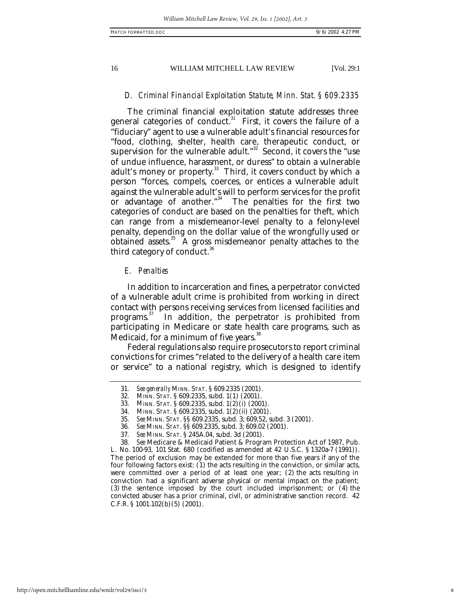# *D. Criminal Financial Exploitation Statute, Minn. Stat. § 609.2335*

The criminal financial exploitation statute addresses three general categories of conduct.<sup>31</sup> First, it covers the failure of a "fiduciary" agent to use a vulnerable adult's financial resources for "food, clothing, shelter, health care, therapeutic conduct, or supervision for the vulnerable adult." $32$  Second, it covers the "use of undue influence, harassment, or duress" to obtain a vulnerable adult's money or property.<sup>33</sup> Third, it covers conduct by which a person "forces, compels, coerces, or entices a vulnerable adult against the vulnerable adult's will to perform services for the profit or advantage of another."<sup>34</sup> The penalties for the first two categories of conduct are based on the penalties for theft, which can range from a misdemeanor-level penalty to a felony-level penalty, depending on the dollar value of the wrongfully used or obtained assets. $35$  A gross misdemeanor penalty attaches to the third category of conduct. $36$ 

# *E. Penalties*

In addition to incarceration and fines, a perpetrator convicted of a vulnerable adult crime is prohibited from working in direct contact with persons receiving services from licensed facilities and programs.<sup>37</sup> In addition, the perpetrator is prohibited from participating in Medicare or state health care programs, such as Medicaid, for a minimum of five years.<sup>38</sup>

Federal regulations also require prosecutors to report criminal convictions for crimes "related to the delivery of a health care item or service" to a national registry, which is designed to identify

<sup>31</sup>*. See generally* MINN. STAT. § 609.2335 (2001).

<sup>32.</sup> MINN. STAT. § 609.2335, subd. 1(1) (2001).

<sup>33.</sup> MINN. STAT. § 609.2335, subd. 1(2)(i) (2001).

<sup>34.</sup> MINN. STAT. § 609.2335, subd. 1(2)(ii) (2001).

<sup>35</sup>*. See* MINN. STAT. §§ 609.2335, subd. 3; 609.52, subd. 3 (2001).

<sup>36</sup>*. See* MINN. STAT. §§ 609.2335, subd. 3; 609.02 (2001).

<sup>37</sup>*. See* MINN. STAT. § 245A.04, subd. 3d (2001).

<sup>38</sup>*. See* Medicare & Medicaid Patient & Program Protection Act of 1987, Pub. L. No. 100-93, 101 Stat. 680 (codified as amended at 42 U.S.C. § 1320a-7 (1991)). The period of exclusion may be extended for more than five years if any of the four following factors exist: (1) the acts resulting in the conviction, or similar acts, were committed over a period of at least one year; (2) the acts resulting in conviction had a significant adverse physical or mental impact on the patient; (3) the sentence imposed by the court included imprisonment; or (4) the convicted abuser has a prior criminal, civil, or administrative sanction record. 42 C.F.R. § 1001.102(b)(5) (2001).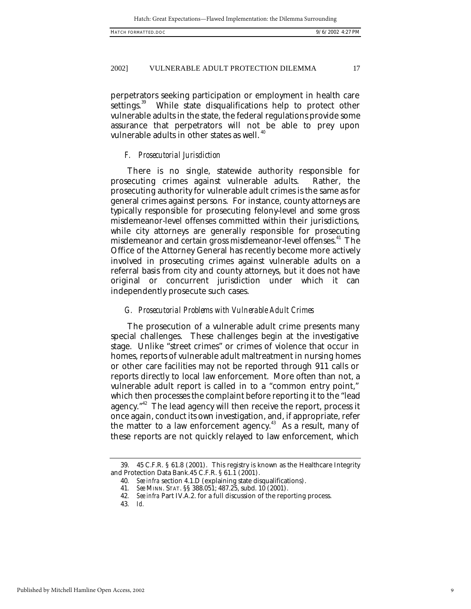perpetrators seeking participation or employment in health care<br>settings.<sup>39</sup> While state disqualifications help to protect other While state disqualifications help to protect other vulnerable adults in the state, the federal regulations provide some assurance that perpetrators will not be able to prey upon vulnerable adults in other states as well.<sup>40</sup>

#### *F. Prosecutorial Jurisdiction*

There is no single, statewide authority responsible for prosecuting crimes against vulnerable adults. Rather, the prosecuting authority for vulnerable adult crimes is the same as for general crimes against persons. For instance, county attorneys are typically responsible for prosecuting felony-level and some gross misdemeanor-level offenses committed within their jurisdictions, while city attorneys are generally responsible for prosecuting misdemeanor and certain gross misdemeanor-level offenses.<sup>41</sup> The Office of the Attorney General has recently become more actively involved in prosecuting crimes against vulnerable adults on a referral basis from city and county attorneys, but it does not have original or concurrent jurisdiction under which it can independently prosecute such cases.

## *G. Prosecutorial Problems with Vulnerable Adult Crimes*

The prosecution of a vulnerable adult crime presents many special challenges. These challenges begin at the investigative stage. Unlike "street crimes" or crimes of violence that occur in homes, reports of vulnerable adult maltreatment in nursing homes or other care facilities may not be reported through 911 calls or reports directly to local law enforcement. More often than not, a vulnerable adult report is called in to a "common entry point," which then processes the complaint before reporting it to the "lead agency."<sup>42</sup> The lead agency will then receive the report, process it once again, conduct its own investigation, and, if appropriate, refer the matter to a law enforcement agency.<sup>43</sup> As a result, many of these reports are not quickly relayed to law enforcement, which

<sup>39.</sup> 45 C.F.R. § 61.8 (2001). This registry is known as the Healthcare Integrity and Protection Data Bank.45 C.F.R. § 61.1 (2001).

<sup>40</sup>*. See infra* section 4.1.D (explaining state disqualifications).

<sup>41</sup>*. See* MINN. STAT. §§ 388.051; 487.25, subd. 10 (2001).

<sup>42</sup>*. See infra* Part IV.A.2. for a full discussion of the reporting process.

<sup>43</sup>*. Id.*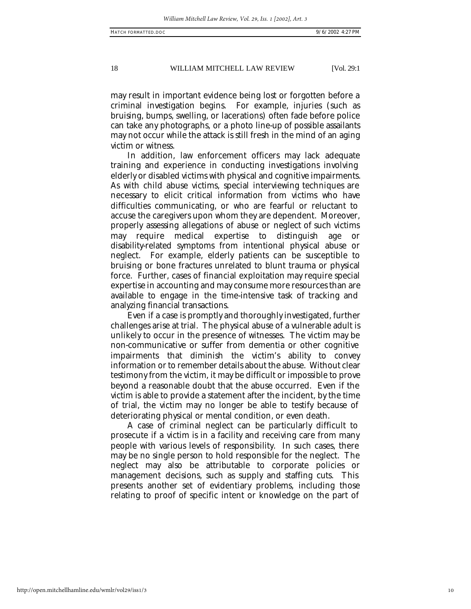may result in important evidence being lost or forgotten before a criminal investigation begins. For example, injuries (such as bruising, bumps, swelling, or lacerations) often fade before police can take any photographs, or a photo line-up of possible assailants may not occur while the attack is still fresh in the mind of an aging victim or witness.

In addition, law enforcement officers may lack adequate training and experience in conducting investigations involving elderly or disabled victims with physical and cognitive impairments. As with child abuse victims, special interviewing techniques are necessary to elicit critical information from victims who have difficulties communicating, or who are fearful or reluctant to accuse the caregivers upon whom they are dependent. Moreover, properly assessing allegations of abuse or neglect of such victims may require medical expertise to distinguish age or disability-related symptoms from intentional physical abuse or neglect. For example, elderly patients can be susceptible to bruising or bone fractures unrelated to blunt trauma or physical force. Further, cases of financial exploitation may require special expertise in accounting and may consume more resources than are available to engage in the time-intensive task of tracking and analyzing financial transactions.

Even if a case is promptly and thoroughly investigated, further challenges arise at trial. The physical abuse of a vulnerable adult is unlikely to occur in the presence of witnesses. The victim may be non-communicative or suffer from dementia or other cognitive impairments that diminish the victim's ability to convey information or to remember details about the abuse. Without clear testimony from the victim, it may be difficult or impossible to prove beyond a reasonable doubt that the abuse occurred. Even if the victim is able to provide a statement after the incident, by the time of trial, the victim may no longer be able to testify because of deteriorating physical or mental condition, or even death.

A case of criminal neglect can be particularly difficult to prosecute if a victim is in a facility and receiving care from many people with various levels of responsibility. In such cases, there may be no single person to hold responsible for the neglect. The neglect may also be attributable to corporate policies or management decisions, such as supply and staffing cuts. This presents another set of evidentiary problems, including those relating to proof of specific intent or knowledge on the part of

http://open.mitchellhamline.edu/wmlr/vol29/iss1/3

10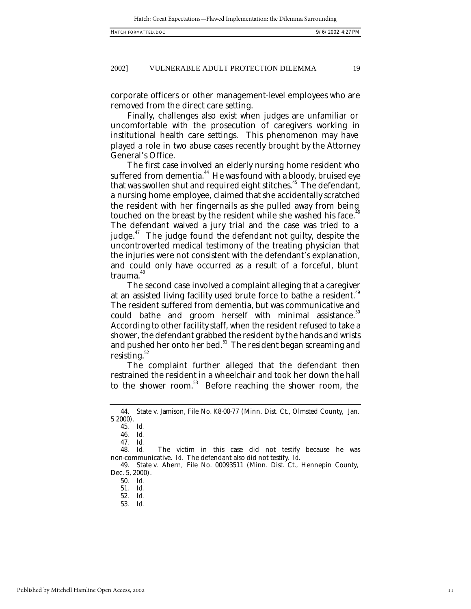corporate officers or other management-level employees who are removed from the direct care setting.

Finally, challenges also exist when judges are unfamiliar or uncomfortable with the prosecution of caregivers working in institutional health care settings. This phenomenon may have played a role in two abuse cases recently brought by the Attorney General's Office.

The first case involved an elderly nursing home resident who suffered from dementia.<sup>44</sup> He was found with a bloody, bruised eye that was swollen shut and required eight stitches.<sup>45</sup> The defendant, a nursing home employee, claimed that she accidentally scratched the resident with her fingernails as she pulled away from being touched on the breast by the resident while she washed his face.<sup>4</sup> The defendant waived a jury trial and the case was tried to a judge. $47$  The judge found the defendant not guilty, despite the uncontroverted medical testimony of the treating physician that the injuries were not consistent with the defendant's explanation, and could only have occurred as a result of a forceful, blunt trauma.<sup>48</sup>

The second case involved a complaint alleging that a caregiver at an assisted living facility used brute force to bathe a resident.  $49$ The resident suffered from dementia, but was communicative and could bathe and groom herself with minimal assistance. $50$ According to other facility staff, when the resident refused to take a shower, the defendant grabbed the resident by the hands and wrists and pushed her onto her bed.<sup>51</sup> The resident began screaming and resisting. $52$ 

The complaint further alleged that the defendant then restrained the resident in a wheelchair and took her down the hall to the shower room.<sup>53</sup> Before reaching the shower room, the

<sup>44.</sup> State v. Jamison, File No. K8-00-77 (Minn. Dist. Ct., Olmsted County, Jan. 5 2000).

<sup>45</sup>*. Id.*

<sup>46</sup>*. Id.*

<sup>47</sup>*. Id.* The victim in this case did not testify because he was non-communicative. *Id.* The defendant also did not testify. *Id.*

<sup>49.</sup> State v. Ahern*,* File No. 00093511 (Minn. Dist. Ct., Hennepin County, Dec. 5, 2000).

<sup>50</sup>*. Id.*

<sup>51</sup>*. Id.*

<sup>52</sup>*. Id.*

<sup>53</sup>*. Id.*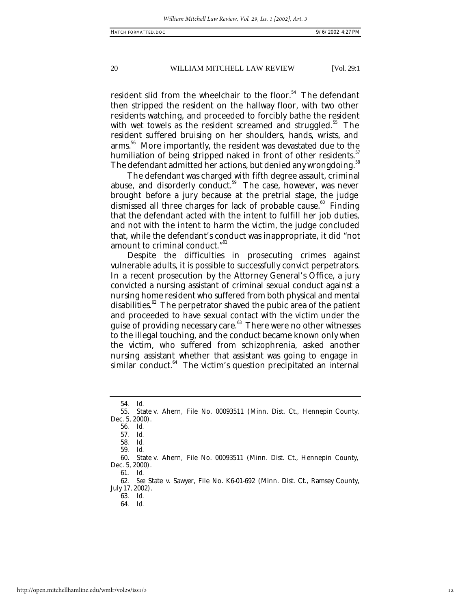resident slid from the wheelchair to the floor.<sup>54</sup> The defendant then stripped the resident on the hallway floor, with two other residents watching, and proceeded to forcibly bathe the resident with wet towels as the resident screamed and struggled.<sup>55</sup> The resident suffered bruising on her shoulders, hands, wrists, and arms. <sup>56</sup> More importantly, the resident was devastated due to the humiliation of being stripped naked in front of other residents.<sup>5</sup> The defendant admitted her actions, but denied any wrongdoing.<sup>58</sup>

The defendant was charged with fifth degree assault, criminal abuse, and disorderly conduct.<sup>59</sup> The case, however, was never brought before a jury because at the pretrial stage, the judge dismissed all three charges for lack of probable cause.<sup>60</sup> Finding that the defendant acted with the intent to fulfill her job duties, and not with the intent to harm the victim, the judge concluded that, while the defendant's conduct was inappropriate, it did "not amount to criminal conduct."<sup>61</sup>

Despite the difficulties in prosecuting crimes against vulnerable adults, it is possible to successfully convict perpetrators. In a recent prosecution by the Attorney General's Office, a jury convicted a nursing assistant of criminal sexual conduct against a nursing home resident who suffered from both physical and mental disabilities. $62$  The perpetrator shaved the pubic area of the patient and proceeded to have sexual contact with the victim under the guise of providing necessary care.<sup>63</sup> There were no other witnesses to the illegal touching, and the conduct became known only when the victim, who suffered from schizophrenia, asked another nursing assistant whether that assistant was going to engage in similar conduct.<sup>64</sup> The victim's question precipitated an internal

60. State v. Ahern*,* File No. 00093511 (Minn. Dist. Ct., Hennepin County, Dec. 5, 2000).

62*. See* State v. Sawyer, File No. K6-01-692 (Minn. Dist. Ct., Ramsey County, July 17, 2002).

63*. Id.*

64*. Id.*

<sup>54</sup>*. Id.*

<sup>55.</sup> State v. Ahern*,* File No. 00093511 (Minn. Dist. Ct., Hennepin County, Dec. 5, 2000).

<sup>56</sup>*. Id.*

<sup>57</sup>*. Id.*

<sup>58</sup>*. Id.*

<sup>59</sup>*. Id.*

<sup>61</sup>*. Id.*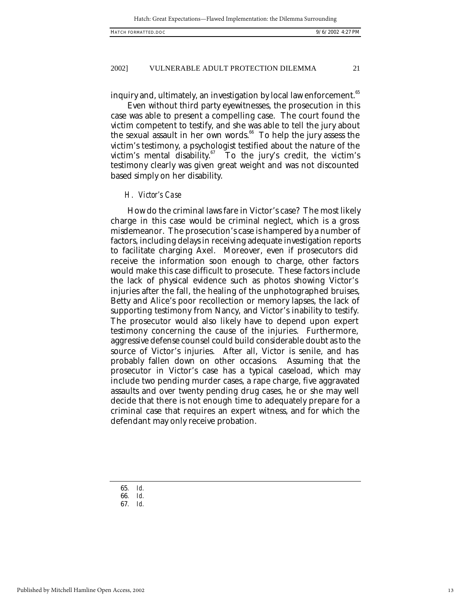inquiry and, ultimately, an investigation by local law enforcement.<sup>65</sup>

Even without third party eyewitnesses, the prosecution in this case was able to present a compelling case. The court found the victim competent to testify, and she was able to tell the jury about the sexual assault in her own words.<sup>66</sup> To help the jury assess the victim's testimony, a psychologist testified about the nature of the victim's mental disability. $^{67}$  To the jury's credit, the victim's testimony clearly was given great weight and was not discounted based simply on her disability.

#### *H. Victor's Case*

How do the criminal laws fare in Victor's case? The most likely charge in this case would be criminal neglect, which is a gross misdemeanor. The prosecution's case is hampered by a number of factors, including delays in receiving adequate investigation reports to facilitate charging Axel. Moreover, even if prosecutors did receive the information soon enough to charge, other factors would make this case difficult to prosecute. These factors include the lack of physical evidence such as photos showing Victor's injuries after the fall, the healing of the unphotographed bruises, Betty and Alice's poor recollection or memory lapses, the lack of supporting testimony from Nancy, and Victor's inability to testify. The prosecutor would also likely have to depend upon expert testimony concerning the cause of the injuries. Furthermore, aggressive defense counsel could build considerable doubt as to the source of Victor's injuries. After all, Victor is senile, and has probably fallen down on other occasions. Assuming that the prosecutor in Victor's case has a typical caseload, which may include two pending murder cases, a rape charge, five aggravated assaults and over twenty pending drug cases, he or she may well decide that there is not enough time to adequately prepare for a criminal case that requires an expert witness, and for which the defendant may only receive probation.

65*. Id.*

67*. Id.*

<sup>66</sup>*. Id.*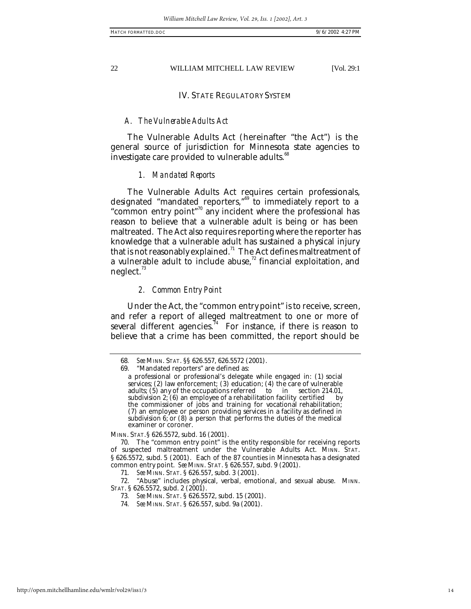#### IV. STATE REGULATORY SYSTEM

## *A. The Vulnerable Adults Act*

The Vulnerable Adults Act (hereinafter "the Act") is the general source of jurisdiction for Minnesota state agencies to investigate care provided to vulnerable adults.<sup>68</sup>

#### *1. Mandated Reports*

The Vulnerable Adults Act requires certain professionals, designated "mandated reporters,"<sup>69</sup> to immediately report to a "common entry point"<sup>70</sup> any incident where the professional has reason to believe that a vulnerable adult is being or has been maltreated. The Act also requires reporting where the reporter has knowledge that a vulnerable adult has sustained a physical injury that is not reasonably explained.<sup>71</sup> The Act defines maltreatment of a vulnerable adult to include abuse, $72$  financial exploitation, and neglect. $3^3$ 

#### *2. Common Entry Point*

Under the Act, the "common entry point" is to receive, screen, and refer a report of alleged maltreatment to one or more of several different agencies.<sup>74</sup> For instance, if there is reason to believe that a crime has been committed, the report should be

MINN. STAT.§ 626.5572, subd. 16 (2001).

70. The "common entry point" is the entity responsible for receiving reports of suspected maltreatment under the Vulnerable Adults Act. MINN. STAT. § 626.5572, subd. 5 (2001). Each of the 87 counties in Minnesota has a designated common entry point. *See* MINN. STAT. § 626.557, subd. 9 (2001).

71*. See* MINN. STAT. § 626.557, subd. 3 (2001).

72. "Abuse" includes physical, verbal, emotional, and sexual abuse. MINN. STAT. § 626.5572, subd. 2 (2001).

- 73*. See* MINN. STAT. § 626.5572, subd. 15 (2001).
- 74*. See* MINN. STAT. § 626.557, subd. 9a (2001).

<sup>68</sup>*. See* MINN. STAT. §§ 626.557, 626.5572 (2001).

<sup>69.</sup> "Mandated reporters" are defined as:

a professional or professional's delegate while engaged in: (1) social services; (2) law enforcement; (3) education; (4) the care of vulnerable adults; (5) any of the occupations referred to in section 214.01, subdivision 2: (6) an employee of a rehabilitation facility certified by subdivision  $2$ ; (6) an employee of a rehabilitation facility certified the commissioner of jobs and training for vocational rehabilitation; (7) an employee or person providing services in a facility as defined in subdivision 6; or (8) a person that performs the duties of the medical examiner or coroner.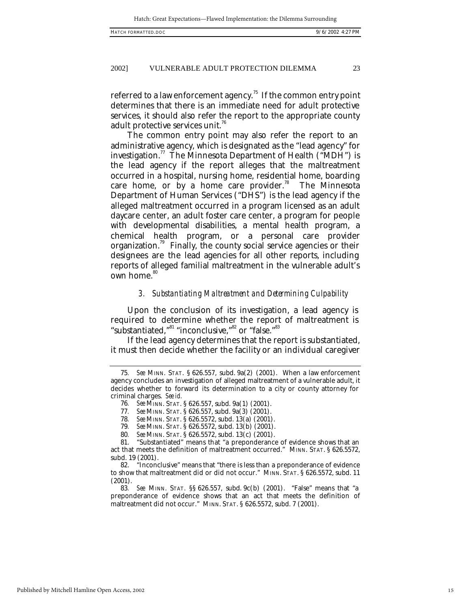referred to a law enforcement agency.<sup>75</sup> If the common entry point determines that there is an immediate need for adult protective services, it should also refer the report to the appropriate county adult protective services unit.<sup>16</sup>

The common entry point may also refer the report to an administrative agency, which is designated as the "lead agency" for investigation.<sup>77</sup> The Minnesota Department of Health ("MDH") is the lead agency if the report alleges that the maltreatment occurred in a hospital, nursing home, residential home, boarding care home, or by a home care provider.<sup>78</sup> The Minnesota Department of Human Services ("DHS") is the lead agency if the alleged maltreatment occurred in a program licensed as an adult daycare center, an adult foster care center, a program for people with developmental disabilities, a mental health program, a chemical health program, or a personal care provider organization.<sup>79</sup> Finally, the county social service agencies or their designees are the lead agencies for all other reports, including reports of alleged familial maltreatment in the vulnerable adult's own home.<sup>80</sup>

#### *3. Substantiating Maltreatment and Determining Culpability*

Upon the conclusion of its investigation, a lead agency is required to determine whether the report of maltreatment is "substantiated,"<sup>81</sup> "inconclusive,"<sup>82</sup> or "false."<sup>83</sup>

If the lead agency determines that the report is substantiated, it must then decide whether the facility or an individual caregiver

78*. See* MINN. STAT. § 626.5572, subd. 13(a) (2001).

79*. See* MINN. STAT. § 626.5572, subd. 13(b) (2001).

<sup>75</sup>*. See* MINN. STAT. § 626.557, subd. 9a(2) (2001). When a law enforcement agency concludes an investigation of alleged maltreatment of a vulnerable adult, it decides whether to forward its determination to a city or county attorney for criminal charges. *See id.*

<sup>76</sup>*. See* MINN. STAT. § 626.557, subd. 9a(1) (2001).

<sup>77</sup>*. See* MINN. STAT. § 626.557, subd. 9a(3) (2001).

<sup>80</sup>*. See* MINN. STAT. § 626.5572, subd. 13(c) (2001).

<sup>&</sup>quot;Substantiated" means that "a preponderance of evidence shows that an act that meets the definition of maltreatment occurred." MINN. STAT. § 626.5572, subd. 19 (2001).

<sup>82.</sup> "Inconclusive" means that "there is less than a preponderance of evidence to show that maltreatment did or did not occur." MINN. STAT. § 626.5572, subd. 11 (2001).

<sup>83</sup>*. See* MINN. STAT. §§ 626.557, subd. 9c(b) (2001). "False" means that "a preponderance of evidence shows that an act that meets the definition of maltreatment did not occur." MINN. STAT. § 626.5572, subd. 7 (2001).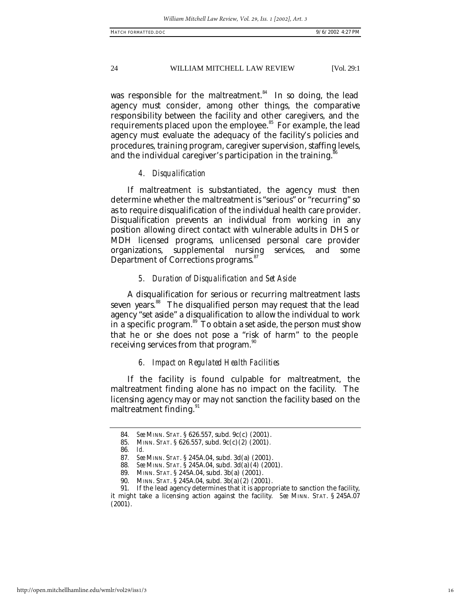was responsible for the maltreatment.<sup>84</sup> In so doing, the lead agency must consider, among other things, the comparative responsibility between the facility and other caregivers, and the requirements placed upon the employee.<sup>85</sup> For example, the lead agency must evaluate the adequacy of the facility's policies and procedures, training program, caregiver supervision, staffing levels, and the individual caregiver's participation in the training.

#### *4. Disqualification*

If maltreatment is substantiated, the agency must then determine whether the maltreatment is "serious" or "recurring" so as to require disqualification of the individual health care provider. Disqualification prevents an individual from working in any position allowing direct contact with vulnerable adults in DHS or MDH licensed programs, unlicensed personal care provider<br>organizations, supplemental nursing services, and some organizations, supplemental nursing services, Department of Corrections programs.<sup>87</sup>

## *5. Duration of Disqualification and Set Aside*

A disqualification for serious or recurring maltreatment lasts seven years. <sup>88</sup> The disqualified person may request that the lead agency "set aside" a disqualification to allow the individual to work in a specific program.<sup>89</sup> To obtain a set aside, the person must show that he or she does not pose a "risk of harm" to the people receiving services from that program.<sup>90</sup>

#### *6. Impact on Regulated Health Facilities*

If the facility is found culpable for maltreatment, the maltreatment finding alone has no impact on the facility. The licensing agency may or may not sanction the facility based on the maltreatment finding.<sup>91</sup>

<sup>84</sup>*. See* MINN. STAT. § 626.557, subd. 9c(c) (2001).

<sup>85.</sup> MINN. STAT. § 626.557, subd. 9c(c)(2) (2001)*.* 86*. Id.*

<sup>87</sup>*. See* MINN. STAT. § 245A.04, subd. 3d(a) (2001).

<sup>88</sup>*. See* MINN. STAT. § 245A.04, subd. 3d(a)(4) (2001).

<sup>89.</sup> MINN. STAT. § 245A.04, subd. 3b(a) (2001).

<sup>90.</sup> MINN. STAT. § 245A.04, subd. 3b(a)(2) (2001).

<sup>91.</sup> If the lead agency determines that it is appropriate to sanction the facility, it might take a licensing action against the facility. *See* MINN. STAT. § 245A.07 (2001).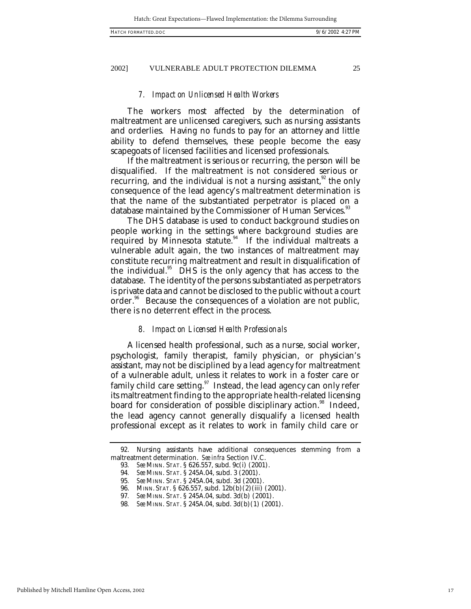## *7. Impact on Unlicensed Health Workers*

The workers most affected by the determination of maltreatment are unlicensed caregivers, such as nursing assistants and orderlies. Having no funds to pay for an attorney and little ability to defend themselves, these people become the easy scapegoats of licensed facilities and licensed professionals.

If the maltreatment is serious or recurring, the person will be disqualified. If the maltreatment is not considered serious or recurring, and the individual is not a nursing assistant,  $\mathbb{Z}^2$  the only consequence of the lead agency's maltreatment determination is that the name of the substantiated perpetrator is placed on a database maintained by the Commissioner of Human Services.<sup>3</sup>

The DHS database is used to conduct background studies on people working in the settings where background studies are required by Minnesota statute.<sup>94</sup> If the individual maltreats a vulnerable adult again, the two instances of maltreatment may constitute recurring maltreatment and result in disqualification of the individual.<sup>95</sup> DHS is the only agency that has access to the database. The identity of the persons substantiated as perpetrators is private data and cannot be disclosed to the public without a court order.<sup>96</sup> Because the consequences of a violation are not public, there is no deterrent effect in the process.

## *8. Impact on Licensed Health Professionals*

A licensed health professional, such as a nurse, social worker, psychologist, family therapist, family physician, or physician's assistant, may not be disciplined by a lead agency for maltreatment of a vulnerable adult, unless it relates to work in a foster care or family child care setting. $97$  Instead, the lead agency can only refer its maltreatment finding to the appropriate health-related licensing board for consideration of possible disciplinary action.<sup>98</sup> Indeed, the lead agency cannot generally disqualify a licensed health professional except as it relates to work in family child care or

<sup>92.</sup> Nursing assistants have additional consequences stemming from a maltreatment determination. *See infra* Section IV.C.

<sup>93</sup>*. See* MINN. STAT. § 626.557, subd. 9c(i) (2001).

<sup>94</sup>*. See* MINN. STAT. § 245A.04, subd. 3 (2001).

<sup>95</sup>*. See* MINN. STAT. § 245A.04, subd. 3d (2001).

<sup>96.</sup> MINN. STAT. § 626.557, subd. 12b(b)(2)(iii) (2001).

<sup>97</sup>*. See* MINN. STAT. § 245A.04, subd. 3d(b) (2001).

<sup>98</sup>*. See* MINN. STAT. § 245A.04, subd. 3d(b)(1) (2001).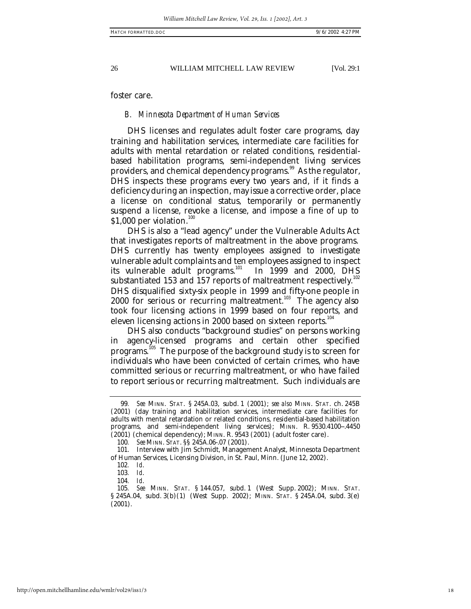foster care.

#### *B. Minnesota Department of Human Services*

DHS licenses and regulates adult foster care programs, day training and habilitation services, intermediate care facilities for adults with mental retardation or related conditions, residentialbased habilitation programs, semi-independent living services providers, and chemical dependency programs.<sup>99</sup> As the regulator, DHS inspects these programs every two years and, if it finds a deficiency during an inspection, may issue a corrective order, place a license on conditional status, temporarily or permanently suspend a license, revoke a license, and impose a fine of up to \$1,000 per violation.<sup>100</sup>

DHS is also a "lead agency" under the Vulnerable Adults Act that investigates reports of maltreatment in the above programs. DHS currently has twenty employees assigned to investigate vulnerable adult complaints and ten employees assigned to inspect<br>its vulnerable adult programs.<sup>101</sup> In 1999 and 2000, DHS its vulnerable adult programs. $101$ substantiated 153 and  $157$  reports of maltreatment respectively. $^{102}$ DHS disqualified sixty-six people in 1999 and fifty-one people in  $2000$  for serious or recurring maltreatment.<sup>103</sup> The agency also took four licensing actions in 1999 based on four reports, and eleven licensing actions in 2000 based on sixteen reports.<sup>104</sup>

DHS also conducts "background studies" on persons working in agency-licensed programs and certain other specified programs.<sup>105</sup> The purpose of the background study is to screen for individuals who have been convicted of certain crimes, who have committed serious or recurring maltreatment, or who have failed to report serious or recurring maltreatment. Such individuals are

<sup>99</sup>*. See* MINN. STAT. § 245A.03, subd. 1 (2001); *see also* MINN. STAT. ch. 245B (2001) (day training and habilitation services, intermediate care facilities for adults with mental retardation or related conditions, residential-based habilitation programs, and semi-independent living services); MINN. R. 9530.4100-.4450 (2001) (chemical dependency); MINN. R. 9543 (2001) (adult foster care).

<sup>100</sup>*. See* MINN. STAT. §§ 245A.06-.07 (2001).

<sup>101.</sup> Interview with Jim Schmidt, Management Analyst, Minnesota Department of Human Services, Licensing Division, in St. Paul, Minn. (June 12, 2002).

<sup>102</sup>*. Id*.

<sup>103</sup>*. Id*.

<sup>104</sup>*. Id*.

<sup>105</sup>*. See* MINN. STAT. § 144.057, subd. 1 (West Supp. 2002); MINN. STAT. § 245A.04, subd. 3(b)(1) (West Supp. 2002); MINN. STAT. § 245A.04, subd. 3(e) (2001).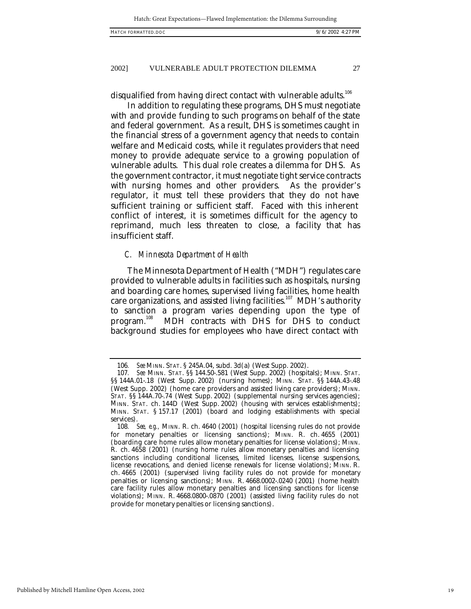disqualified from having direct contact with vulnerable adults.<sup>106</sup>

In addition to regulating these programs, DHS must negotiate with and provide funding to such programs on behalf of the state and federal government. As a result, DHS is sometimes caught in the financial stress of a government agency that needs to contain welfare and Medicaid costs, while it regulates providers that need money to provide adequate service to a growing population of vulnerable adults. This dual role creates a dilemma for DHS. As the government contractor, it must negotiate tight service contracts with nursing homes and other providers. As the provider's regulator, it must tell these providers that they do not have sufficient training or sufficient staff. Faced with this inherent conflict of interest, it is sometimes difficult for the agency to reprimand, much less threaten to close, a facility that has insufficient staff.

#### *C. Minnesota Department of Health*

The Minnesota Department of Health ("MDH") regulates care provided to vulnerable adults in facilities such as hospitals, nursing and boarding care homes, supervised living facilities, home health care organizations, and assisted living facilities.<sup>107</sup> MDH's authority to sanction a program varies depending upon the type of program.<sup>108</sup> MDH contracts with DHS for DHS to conduct MDH contracts with DHS for DHS to conduct background studies for employees who have direct contact with

<sup>106</sup>*. See* MINN. STAT. § 245A.04, subd. 3d(a) (West Supp. 2002).

<sup>107</sup>*. See* MINN. STAT. §§ 144.50-.581 (West Supp. 2002) (hospitals); MINN. STAT. §§ 144A.01-.18 (West Supp. 2002) (nursing homes); MINN. STAT. §§ 144A.43-.48 (West Supp. 2002) (home care providers and assisted living care providers); MINN. STAT. §§ 144A.70-.74 (West Supp. 2002) (supplemental nursing services agencies); MINN. STAT. ch. 144D (West Supp. 2002) (housing with services establishments); MINN. STAT. § 157.17 (2001) (board and lodging establishments with special services).

<sup>108</sup>*. See, e.g.,* MINN. R. ch. 4640 (2001) (hospital licensing rules do not provide for monetary penalties or licensing sanctions); MINN. R. ch. 4655 (2001) (boarding care home rules allow monetary penalties for license violations); MINN. R. ch. 4658 (2001) (nursing home rules allow monetary penalties and licensing sanctions including conditional licenses, limited licenses, license suspensions, license revocations, and denied license renewals for license violations); MINN. R. ch. 4665 (2001) (supervised living facility rules do not provide for monetary penalties or licensing sanctions); MINN. R. 4668.0002-.0240 (2001) (home health care facility rules allow monetary penalties and licensing sanctions for license violations); MINN. R. 4668.0800-.0870 (2001) (assisted living facility rules do not provide for monetary penalties or licensing sanctions).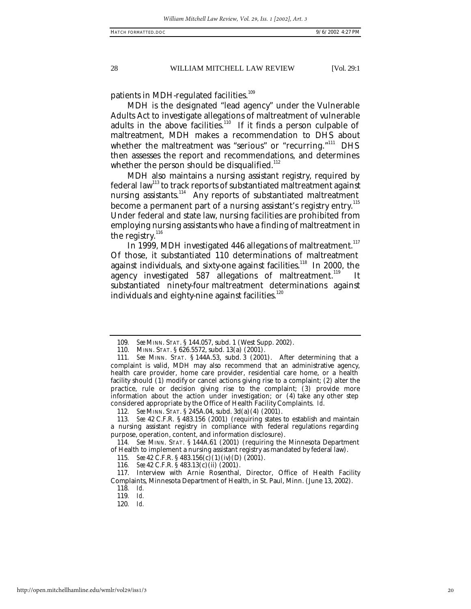patients in MDH-regulated facilities.<sup>109</sup>

MDH is the designated "lead agency" under the Vulnerable Adults Act to investigate allegations of maltreatment of vulnerable adults in the above facilities.<sup>110</sup> If it finds a person culpable of maltreatment, MDH makes a recommendation to DHS about whether the maltreatment was "serious" or "recurring."<sup>111</sup> DHS then assesses the report and recommendations, and determines whether the person should be disqualified.<sup>112</sup>

MDH also maintains a nursing assistant registry, required by federal law<sup>113</sup> to track reports of substantiated maltreatment against nursing assistants.<sup>114</sup> Any reports of substantiated maltreatment become a permanent part of a nursing assistant's registry entry. $^{115}$ Under federal and state law, nursing facilities are prohibited from employing nursing assistants who have a finding of maltreatment in the registry. $^{116}$ 

In 1999, MDH investigated 446 allegations of maltreatment. $^{117}$ Of those, it substantiated 110 determinations of maltreatment against individuals, and sixty-one against facilities.<sup>118</sup> In 2000, the agency investigated 587 allegations of maltreatment.<sup>119</sup> It substantiated ninety-four maltreatment determinations against individuals and eighty-nine against facilities. $120$ 

113*. See* 42 C.F.R. § 483.156 (2001) (requiring states to establish and maintain a nursing assistant registry in compliance with federal regulations regarding purpose, operation, content, and information disclosure).

114*. See* MINN. STAT. § 144A.61 (2001) (requiring the Minnesota Department of Health to implement a nursing assistant registry as mandated by federal law).

120*. Id.*

<sup>109</sup>*. See* MINN. STAT. § 144.057, subd. 1 (West Supp. 2002).

<sup>110.</sup> MINN. STAT. § 626.5572, subd. 13(a) (2001).

<sup>111</sup>*. See* MINN. STAT. § 144A.53, subd. 3 (2001). After determining that a complaint is valid, MDH may also recommend that an administrative agency, health care provider, home care provider, residential care home, or a health facility should (1) modify or cancel actions giving rise to a complaint; (2) alter the practice, rule or decision giving rise to the complaint; (3) provide more information about the action under investigation; or (4) take any other step considered appropriate by the Office of Health Facility Complaints. *Id*.

<sup>112</sup>*. See* MINN. STAT. § 245A.04, subd. 3d(a)(4) (2001).

<sup>115</sup>*. See* 42 C.F.R. § 483.156(c)(1)(iv)(D) (2001).

<sup>116</sup>*. See* 42 C.F.R. § 483.13(c)(ii) (2001).

<sup>117.</sup> Interview with Arnie Rosenthal, Director, Office of Health Facility Complaints, Minnesota Department of Health, in St. Paul, Minn. (June 13, 2002).

<sup>118</sup>*. Id.* 119*. Id.*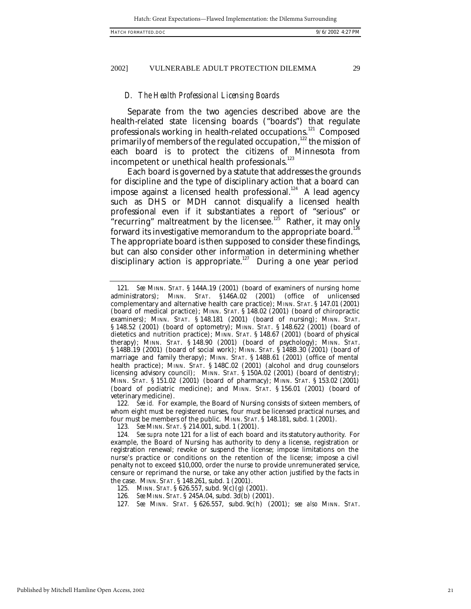#### *D. The Health Professional Licensing Boards*

Separate from the two agencies described above are the health-related state licensing boards ("boards") that regulate professionals working in health-related occupations.<sup>121</sup> Composed primarily of members of the regulated occupation,<sup>122</sup> the mission of each board is to protect the citizens of Minnesota from incompetent or unethical health professionals.<sup>123</sup>

Each board is governed by a statute that addresses the grounds for discipline and the type of disciplinary action that a board can impose against a licensed health professional.<sup>124</sup> A lead agency such as DHS or MDH cannot disqualify a licensed health professional even if it substantiates a report of "serious" or "recurring" maltreatment by the licensee.<sup>125</sup> Rather, it may only forward its investigative memorandum to the appropriate board. $^{126}$ The appropriate board is then supposed to consider these findings, but can also consider other information in determining whether disciplinary action is appropriate.<sup>127</sup> During a one year period

122*. See id.* For example, the Board of Nursing consists of sixteen members, of whom eight must be registered nurses, four must be licensed practical nurses, and four must be members of the public. MINN. STAT. § 148.181, subd. 1 (2001).

<sup>121</sup>*. See* MINN. STAT. § 144A.19 (2001) (board of examiners of nursing home administrators); MINN. STAT. §146A.02 (2001) (office of unlicensed complementary and alternative health care practice); MINN. STAT. § 147.01 (2001) (board of medical practice); MINN. STAT. § 148.02 (2001) (board of chiropractic examiners); MINN. STAT. § 148.181 (2001) (board of nursing); MINN. STAT. § 148.52 (2001) (board of optometry); MINN. STAT. § 148.622 (2001) (board of dietetics and nutrition practice); MINN. STAT. § 148.67 (2001) (board of physical therapy); MINN. STAT. § 148.90 (2001) (board of psychology); MINN. STAT. § 148B.19 (2001) (board of social work); MINN. STAT. § 148B.30 (2001) (board of marriage and family therapy); MINN. STAT. § 148B.61 (2001) (office of mental health practice); MINN. STAT. § 148C.02 (2001) (alcohol and drug counselors licensing advisory council); MINN. STAT. § 150A.02 (2001) (board of dentistry); MINN. STAT. § 151.02 (2001) (board of pharmacy); MINN. STAT. § 153.02 (2001) (board of podiatric medicine); and MINN. STAT. § 156.01 (2001) (board of veterinary medicine).

<sup>123</sup>*. See* MINN. STAT. § 214.001, subd. 1 (2001).

<sup>124</sup>*. See supra* note 121 for a list of each board and its statutory authority. For example, the Board of Nursing has authority to deny a license, registration or registration renewal; revoke or suspend the license; impose limitations on the nurse's practice or conditions on the retention of the license; impose a civil penalty not to exceed \$10,000, order the nurse to provide unremunerated service, censure or reprimand the nurse, or take any other action justified by the facts in the case. MINN. STAT. § 148.261, subd. 1 (2001).

<sup>125.</sup> MINN. STAT. § 626.557, subd. 9(c)(g) (2001).

<sup>126</sup>*. See* MINN. STAT. § 245A.04, subd. 3d(b) (2001).

<sup>127</sup>*. See* MINN. STAT. § 626.557, subd. 9c(h) (2001); *see also* MINN. STAT.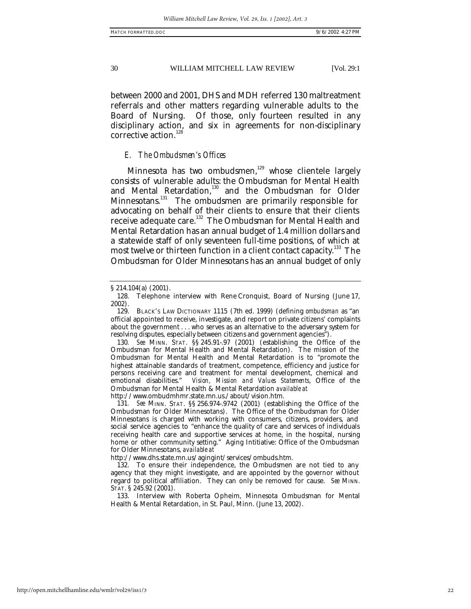between 2000 and 2001, DHS and MDH referred 130 maltreatment referrals and other matters regarding vulnerable adults to the Board of Nursing. Of those, only fourteen resulted in any disciplinary action, and six in agreements for non-disciplinary corrective action.<sup>128</sup>

#### *E. The Ombudsmen's Offices*

Minnesota has two ombudsmen, $129$  whose clientele largely consists of vulnerable adults: the Ombudsman for Mental Health and Mental Retardation,<sup>130</sup> and the Ombudsman for Older Minnesotans.<sup>131</sup> The ombudsmen are primarily responsible for advocating on behalf of their clients to ensure that their clients receive adequate care.<sup>132</sup> The Ombudsman for Mental Health and Mental Retardation has an annual budget of 1.4 million dollars and a statewide staff of only seventeen full-time positions, of which at most twelve or thirteen function in a client contact capacity.<sup>133</sup> The Ombudsman for Older Minnesotans has an annual budget of only

http://www.dhs.state.mn.us/agingint/services/ombuds.htm.

<sup>§</sup> 214.104(a) (2001).

<sup>128.</sup> Telephone interview with Rene Cronquist, Board of Nursing (June 17, 2002).

<sup>129.</sup> BLACK'S LAW DICTIONARY 1115 (7th ed. 1999) (defining *ombudsman* as "an official appointed to receive, investigate, and report on private citizens' complaints about the government . . . who serves as an alternative to the adversary system for resolving disputes, especially between citizens and government agencies").

<sup>130</sup>*. See* MINN. STAT. §§ 245.91-.97 (2001) (establishing the Office of the Ombudsman for Mental Health and Mental Retardation). The mission of the Ombudsman for Mental Health and Mental Retardation is to "promote the highest attainable standards of treatment, competence, efficiency and justice for persons receiving care and treatment for mental development, chemical and emotional disabilities." *Vision, Mission and Values Statements*, Office of the Vision, Mission and Values Statements, Office of the Ombudsman for Mental Health & Mental Retardation *available at* http://www.ombudmhmr.state.mn.us./about/vision.htm.

<sup>131</sup>*. See* MINN. STAT. §§ 256.974-.9742 (2001) (establishing the Office of the Ombudsman for Older Minnesotans). The Office of the Ombudsman for Older Minnesotans is charged with working with consumers, citizens, providers, and social service agencies to "enhance the quality of care and services of individuals receiving health care and supportive services at home, in the hospital, nursing home or other community setting." Aging Intitiative: Office of the Ombudsman for Older Minnesotans, *available at*

<sup>132.</sup> To ensure their independence, the Ombudsmen are not tied to any agency that they might investigate, and are appointed by the governor without regard to political affiliation. They can only be removed for cause. *See* MINN. STAT. § 245.92 (2001).

<sup>133.</sup> Interview with Roberta Opheim, Minnesota Ombudsman for Mental Health & Mental Retardation, in St. Paul, Minn. (June 13, 2002).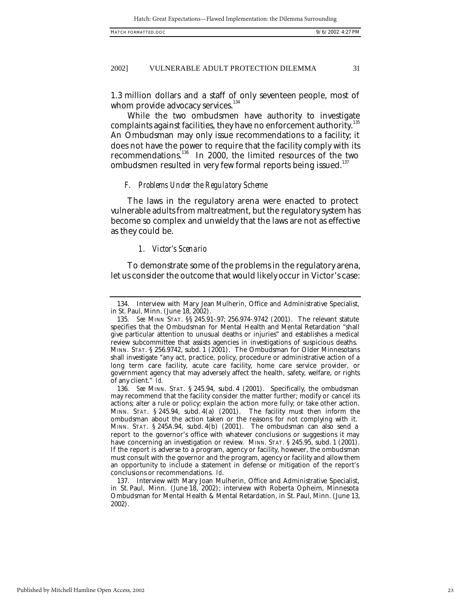1.3 million dollars and a staff of only seventeen people, most of whom provide advocacy services.<sup>134</sup>

While the two ombudsmen have authority to investigate complaints against facilities, they have no enforcement authority.  $^{135}$ An Ombudsman may only issue recommendations to a facility; it does not have the power to require that the facility comply with its recommendations.<sup>136</sup> In 2000, the limited resources of the two ombudsmen resulted in very few formal reports being issued.<sup>137</sup>

#### *F. Problems Under the Regulatory Scheme*

The laws in the regulatory arena were enacted to protect vulnerable adults from maltreatment, but the regulatory system has become so complex and unwieldy that the laws are not as effective as they could be.

# *1. Victor's Scenario*

To demonstrate some of the problems in the regulatory arena, let us consider the outcome that would likely occur in Victor's case:

<sup>134.</sup> Interview with Mary Jean Mulherin, Office and Administrative Specialist, in St. Paul, Minn. (June 18, 2002).

<sup>135</sup>*. See* MINN STAT. §§ 245.91-.97; 256.974-.9742 (2001). The relevant statute specifies that the Ombudsman for Mental Health and Mental Retardation "shall give particular attention to unusual deaths or injuries" and establishes a medical review subcommittee that assists agencies in investigations of suspicious deaths. MINN. STAT. § 256.9742, subd. 1 (2001). The Ombudsman for Older Minnesotans shall investigate "any act, practice, policy, procedure or administrative action of a long term care facility, acute care facility, home care service provider, or government agency that may adversely affect the health, safety, welfare, or rights of any client." *Id.*

<sup>136</sup>*. See* MINN. STAT. § 245.94, subd. 4 (2001). Specifically, the ombudsman may recommend that the facility consider the matter further; modify or cancel its actions; alter a rule or policy; explain the action more fully; or take other action. MINN. STAT.  $\S 245.94$ , subd.  $4(a)$  (2001). The facility must then inform the ombudsman about the action taken or the reasons for not complying with it. MINN. STAT. § 245A.94, subd. 4(b) (2001). The ombudsman can also send a report to the governor's office with whatever conclusions or suggestions it may have concerning an investigation or review. MINN. STAT. § 245.95, subd. 1 (2001). If the report is adverse to a program, agency or facility, however, the ombudsman must consult with the governor and the program, agency or facility and allow them an opportunity to include a statement in defense or mitigation of the report's conclusions or recommendations. *Id*.

<sup>137.</sup> Interview with Mary Joan Mulherin, Office and Administrative Specialist, in St. Paul, Minn. (June 18, 2002); interview with Roberta Opheim, Minnesota Ombudsman for Mental Health & Mental Retardation, in St. Paul, Minn. (June 13, 2002).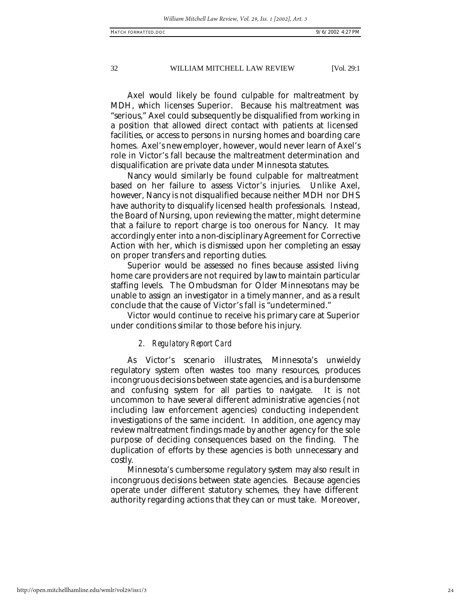Axel would likely be found culpable for maltreatment by MDH, which licenses Superior. Because his maltreatment was "serious," Axel could subsequently be disqualified from working in a position that allowed direct contact with patients at licensed facilities, or access to persons in nursing homes and boarding care homes. Axel's new employer, however, would never learn of Axel's role in Victor's fall because the maltreatment determination and disqualification are private data under Minnesota statutes.

Nancy would similarly be found culpable for maltreatment based on her failure to assess Victor's injuries. Unlike Axel, however, Nancy is not disqualified because neither MDH nor DHS have authority to disqualify licensed health professionals. Instead, the Board of Nursing, upon reviewing the matter, might determine that a failure to report charge is too onerous for Nancy. It may accordingly enter into a non-disciplinary Agreement for Corrective Action with her, which is dismissed upon her completing an essay on proper transfers and reporting duties.

Superior would be assessed no fines because assisted living home care providers are not required by law to maintain particular staffing levels. The Ombudsman for Older Minnesotans may be unable to assign an investigator in a timely manner, and as a result conclude that the cause of Victor's fall is "undetermined."

Victor would continue to receive his primary care at Superior under conditions similar to those before his injury.

## *2. Regulatory Report Card*

As Victor's scenario illustrates, Minnesota's unwieldy regulatory system often wastes too many resources, produces incongruous decisions between state agencies, and is a burdensome and confusing system for all parties to navigate. It is not uncommon to have several different administrative agencies (not including law enforcement agencies) conducting independent investigations of the same incident. In addition, one agency may review maltreatment findings made by another agency for the sole purpose of deciding consequences based on the finding. The duplication of efforts by these agencies is both unnecessary and costly.

Minnesota's cumbersome regulatory system may also result in incongruous decisions between state agencies. Because agencies operate under different statutory schemes, they have different authority regarding actions that they can or must take. Moreover,

#### http://open.mitchellhamline.edu/wmlr/vol29/iss1/3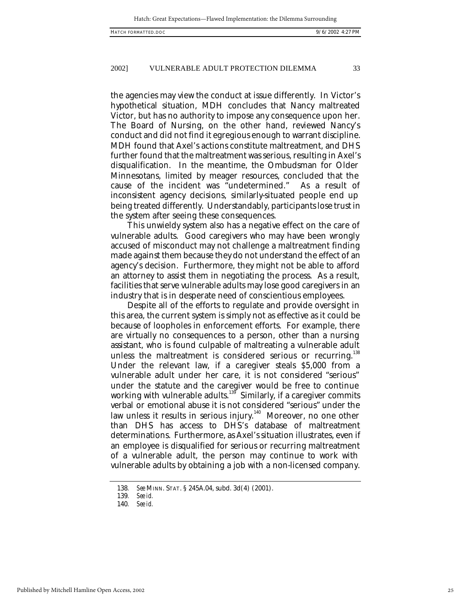the agencies may view the conduct at issue differently. In Victor's hypothetical situation, MDH concludes that Nancy maltreated Victor, but has no authority to impose any consequence upon her. The Board of Nursing, on the other hand, reviewed Nancy's conduct and did not find it egregious enough to warrant discipline. MDH found that Axel's actions constitute maltreatment, and DHS further found that the maltreatment was serious, resulting in Axel's disqualification. In the meantime, the Ombudsman for Older Minnesotans, limited by meager resources, concluded that the cause of the incident was "undetermined." As a result of inconsistent agency decisions, similarly-situated people end up being treated differently. Understandably, participants lose trust in the system after seeing these consequences.

This unwieldy system also has a negative effect on the care of vulnerable adults. Good caregivers who may have been wrongly accused of misconduct may not challenge a maltreatment finding made against them because they do not understand the effect of an agency's decision. Furthermore, they might not be able to afford an attorney to assist them in negotiating the process. As a result, facilities that serve vulnerable adults may lose good caregivers in an industry that is in desperate need of conscientious employees.

Despite all of the efforts to regulate and provide oversight in this area, the current system is simply not as effective as it could be because of loopholes in enforcement efforts. For example, there are virtually no consequences to a person, other than a nursing assistant, who is found culpable of maltreating a vulnerable adult unless the maltreatment is considered serious or recurring.<sup>138</sup> Under the relevant law, if a caregiver steals \$5,000 from a vulnerable adult under her care, it is not considered "serious" under the statute and the caregiver would be free to continue working with vulnerable adults.<sup>139</sup> Similarly, if a caregiver commits verbal or emotional abuse it is not considered "serious" under the law unless it results in serious injury.<sup>140</sup> Moreover, no one other than DHS has access to DHS's database of maltreatment determinations. Furthermore, as Axel's situation illustrates, even if an employee is disqualified for serious or recurring maltreatment of a vulnerable adult, the person may continue to work with vulnerable adults by obtaining a job with a non-licensed company.

<sup>138</sup>*. See* MINN. STAT. § 245A.04, subd. 3d(4) (2001).

<sup>139</sup>*. See id.*

<sup>140</sup>*. See id.*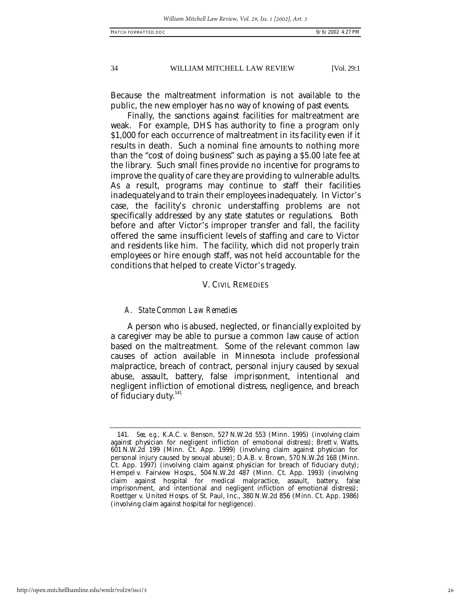Because the maltreatment information is not available to the public, the new employer has no way of knowing of past events.

Finally, the sanctions against facilities for maltreatment are weak. For example, DHS has authority to fine a program only \$1,000 for each occurrence of maltreatment in its facility even if it results in death. Such a nominal fine amounts to nothing more than the "cost of doing business" such as paying a \$5.00 late fee at the library. Such small fines provide no incentive for programs to improve the quality of care they are providing to vulnerable adults. As a result, programs may continue to staff their facilities inadequately and to train their employees inadequately. In Victor's case, the facility's chronic understaffing problems are not specifically addressed by any state statutes or regulations. Both before and after Victor's improper transfer and fall, the facility offered the same insufficient levels of staffing and care to Victor and residents like him. The facility, which did not properly train employees or hire enough staff, was not held accountable for the conditions that helped to create Victor's tragedy.

# V. CIVIL REMEDIES

## *A. State Common Law Remedies*

A person who is abused, neglected, or financially exploited by a caregiver may be able to pursue a common law cause of action based on the maltreatment. Some of the relevant common law causes of action available in Minnesota include professional malpractice, breach of contract, personal injury caused by sexual abuse, assault, battery, false imprisonment, intentional and negligent infliction of emotional distress, negligence, and breach of fiduciary duty.<sup>141</sup>

<sup>141</sup>*. See, e.g.,* K.A.C. v. Benson, 527 N.W.2d 553 (Minn. 1995) (involving claim against physician for negligent infliction of emotional distress); Brett v. Watts, 601 N.W.2d 199 (Minn. Ct. App. 1999) (involving claim against physician for personal injury caused by sexual abuse); D.A.B. v. Brown, 570 N.W.2d 168 (Minn. Ct. App. 1997) (involving claim against physician for breach of fiduciary duty); Hempel v. Fairview Hosps., 504 N.W.2d 487 (Minn. Ct. App. 1993) (involving claim against hospital for medical malpractice, assault, battery, false imprisonment, and intentional and negligent infliction of emotional distress); Roettger v. United Hosps. of St. Paul, Inc., 380 N.W.2d 856 (Minn. Ct. App. 1986) (involving claim against hospital for negligence).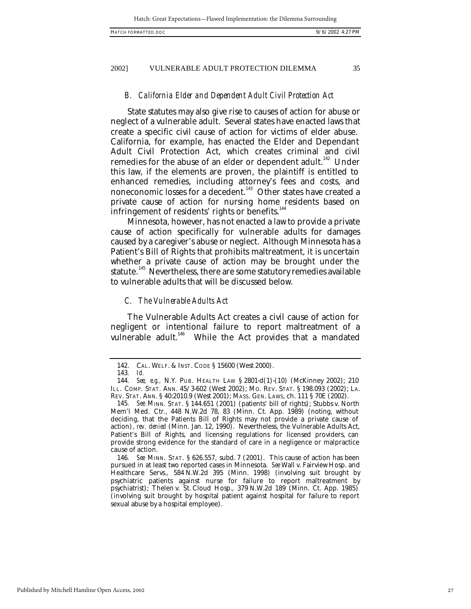#### *B. California Elder and Dependent Adult Civil Protection Act*

State statutes may also give rise to causes of action for abuse or neglect of a vulnerable adult. Several states have enacted laws that create a specific civil cause of action for victims of elder abuse. California, for example, has enacted the Elder and Dependant Adult Civil Protection Act, which creates criminal and civil remedies for the abuse of an elder or dependent adult.<sup>142</sup> Under this law, if the elements are proven, the plaintiff is entitled to enhanced remedies, including attorney's fees and costs, and noneconomic losses for a decedent.<sup>143</sup> Other states have created a private cause of action for nursing home residents based on infringement of residents' rights or benefits.<sup>144</sup>

Minnesota, however, has not enacted a law to provide a private cause of action specifically for vulnerable adults for damages caused by a caregiver's abuse or neglect. Although Minnesota has a Patient's Bill of Rights that prohibits maltreatment, it is uncertain whether a private cause of action may be brought under the statute.<sup>145</sup> Nevertheless, there are some statutory remedies available to vulnerable adults that will be discussed below.

# *C. The Vulnerable Adults Act*

The Vulnerable Adults Act creates a civil cause of action for negligent or intentional failure to report maltreatment of a vulnerable adult.<sup>146</sup> While the Act provides that a mandated

<sup>142.</sup> CAL. WELF. & INST. CODE § 15600 (West 2000).

<sup>143</sup>*. Id.*

<sup>144</sup>*. See, e.g.,* N.Y. PUB. HEALTH LAW § 2801-d(1)-(10) (McKinney 2002); 210 ILL. COMP. STAT. ANN. 45/3-602 (West 2002); MO. REV. STAT. § 198.093 (2002); LA. REV. STAT. ANN. § 40:2010.9 (West 2001); MASS. GEN. LAWS, ch. 111 § 70E (2002).

<sup>145</sup>*. See* MINN. STAT. § 144.651 (2001) (patients' bill of rights); Stubbs v. North Mem'l Med. Ctr*.,* 448 N.W.2d 78, 83 (Minn. Ct. App. 1989) (noting, without deciding, that the Patients Bill of Rights may not provide a private cause of action), *rev. denied* (Minn. Jan. 12, 1990). Nevertheless, the Vulnerable Adults Act, Patient's Bill of Rights, and licensing regulations for licensed providers, can provide strong evidence for the standard of care in a negligence or malpractice cause of action.

<sup>146</sup>*. See* MINN. STAT. § 626.557, subd. 7 (2001). This cause of action has been pursued in at least two reported cases in Minnesota. *See* Wall v. Fairview Hosp. and Healthcare Servs.*,* 584 N.W.2d 395 (Minn. 1998) (involving suit brought by psychiatric patients against nurse for failure to report maltreatment by psychiatrist); Thelen v. St. Cloud Hosp., 379 N.W.2d 189 (Minn. Ct. App. 1985) (involving suit brought by hospital patient against hospital for failure to report sexual abuse by a hospital employee).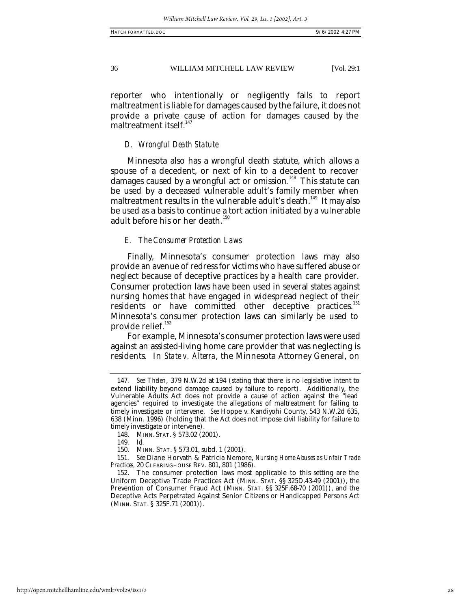reporter who intentionally or negligently fails to report maltreatment is liable for damages caused by the failure, it does not provide a private cause of action for damages caused by the maltreatment itself.<sup>147</sup>

# *D. Wrongful Death Statute*

Minnesota also has a wrongful death statute, which allows a spouse of a decedent, or next of kin to a decedent to recover damages caused by a wrongful act or omission.<sup>148</sup> This statute can be used by a deceased vulnerable adult's family member when maltreatment results in the vulnerable adult's death.<sup>149</sup> It may also be used as a basis to continue a tort action initiated by a vulnerable adult before his or her death.<sup>150</sup>

# *E. The Consumer Protection Laws*

Finally, Minnesota's consumer protection laws may also provide an avenue of redress for victims who have suffered abuse or neglect because of deceptive practices by a health care provider. Consumer protection laws have been used in several states against nursing homes that have engaged in widespread neglect of their residents or have committed other deceptive practices.<sup>151</sup> Minnesota's consumer protection laws can similarly be used to provide relief.<sup>152</sup>

For example, Minnesota's consumer protection laws were used against an assisted-living home care provider that was neglecting is residents. In *State v. Alterra*, the Minnesota Attorney General, on

149*. Id.*

<sup>147</sup>*. See Thelen*, 379 N.W.2d at 194 (stating that there is no legislative intent to extend liability beyond damage caused by failure to report). Additionally, the Vulnerable Adults Act does not provide a cause of action against the "lead agencies" required to investigate the allegations of maltreatment for failing to timely investigate or intervene. *See* Hoppe v. Kandiyohi County, 543 N.W.2d 635, 638 (Minn. 1996) (holding that the Act does not impose civil liability for failure to timely investigate or intervene).

<sup>148.</sup> MINN. STAT. § 573.02 (2001).<br>149. *Id.* 

<sup>150.</sup> MINN. STAT. § 573.01, subd. 1 (2001).

<sup>151</sup>*. See* Diane Horvath & Patricia Nemore, *Nursing Home Abuses as Unfair Trade Practices,* 20 CLEARINGHOUSE REV. 801, 801 (1986).

<sup>152.</sup> The consumer protection laws most applicable to this setting are the Uniform Deceptive Trade Practices Act (MINN. STAT. §§ 325D.43-49 (2001)), the Prevention of Consumer Fraud Act (MINN. STAT. §§ 325F.68-70 (2001)), and the Deceptive Acts Perpetrated Against Senior Citizens or Handicapped Persons Act (MINN. STAT. § 325F.71 (2001)).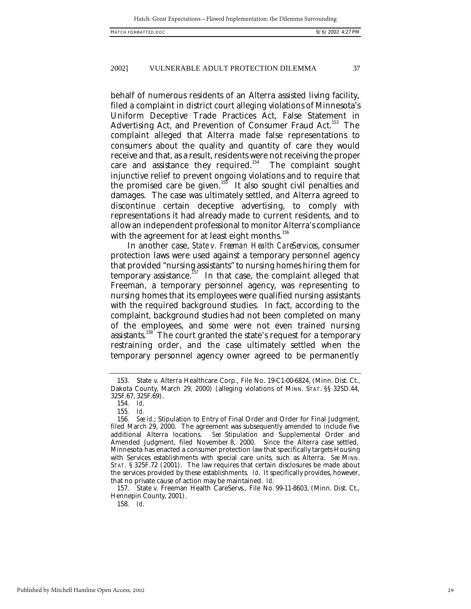behalf of numerous residents of an Alterra assisted living facility, filed a complaint in district court alleging violations of Minnesota's Uniform Deceptive Trade Practices Act, False Statement in Advertising Act, and Prevention of Consumer Fraud Act.<sup>153</sup> The complaint alleged that Alterra made false representations to consumers about the quality and quantity of care they would receive and that, as a result, residents were not receiving the proper care and assistance they required.<sup>154</sup> The complaint sought injunctive relief to prevent ongoing violations and to require that the promised care be given.<sup>155</sup> It also sought civil penalties and damages. The case was ultimately settled, and Alterra agreed to discontinue certain deceptive advertising, to comply with representations it had already made to current residents, and to allow an independent professional to monitor Alterra's compliance with the agreement for at least eight months. $156$ 

In another case, *State v. Freeman Health CareServices*, consumer protection laws were used against a temporary personnel agency that provided "nursing assistants" to nursing homes hiring them for temporary assistance.<sup>157</sup> In that case, the complaint alleged that Freeman, a temporary personnel agency, was representing to nursing homes that its employees were qualified nursing assistants with the required background studies. In fact, according to the complaint, background studies had not been completed on many of the employees, and some were not even trained nursing assistants.<sup>158</sup> The court granted the state's request for a temporary restraining order, and the case ultimately settled when the temporary personnel agency owner agreed to be permanently

157. State v. Freeman Health CareServs., File No. 99-11-8603, (Minn. Dist. Ct., Hennepin County, 2001).

158*. Id*.

Published by Mitchell Hamline Open Access, 2002

<sup>153.</sup> State v. Alterra Healthcare Corp., File No. 19-C1-00-6824, (Minn. Dist. Ct., Dakota County, March 29, 2000) (alleging violations of MINN. STAT. §§ 325D.44, 325F.67, 325F.69).

<sup>154</sup>*. Id*.

<sup>155</sup>*. Id.*

<sup>156</sup>*. See id*.; Stipulation to Entry of Final Order and Order for Final Judgment, filed March 29, 2000. The agreement was subsequently amended to include five additional Alterra locations. *See* Stipulation and Supplemental Order and Amended Judgment, filed November 8, 2000. Since the Alterra case settled, Minnesota has enacted a consumer protection law that specifically targets Housing with Services establishments with special care units, such as Alterra. *See* MINN. STAT. § 325F.72 (2001). The law requires that certain disclosures be made about the services provided by these establishments. *Id*. It specifically provides, however, that no private cause of action may be maintained. *Id*.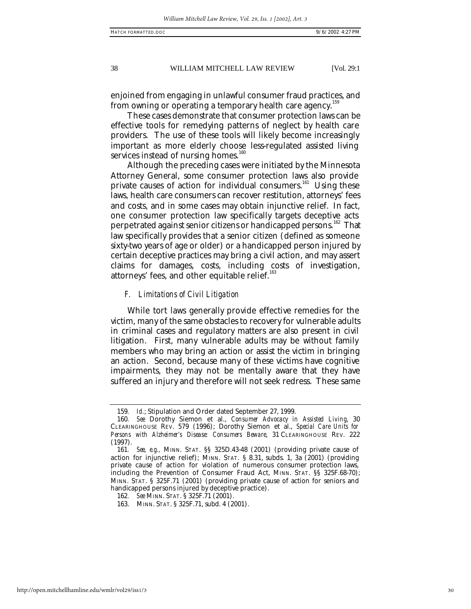enjoined from engaging in unlawful consumer fraud practices, and from owning or operating a temporary health care agency.<sup>15</sup>

These cases demonstrate that consumer protection laws can be effective tools for remedying patterns of neglect by health care providers. The use of these tools will likely become increasingly important as more elderly choose less-regulated assisted living services instead of nursing homes.<sup>160</sup>

Although the preceding cases were initiated by the Minnesota Attorney General, some consumer protection laws also provide private causes of action for individual consumers.<sup>161</sup> Using these laws, health care consumers can recover restitution, attorneys' fees and costs, and in some cases may obtain injunctive relief. In fact, one consumer protection law specifically targets deceptive acts perpetrated against senior citizens or handicapped persons.<sup>162</sup> That law specifically provides that a senior citizen (defined as someone sixty-two years of age or older) or a handicapped person injured by certain deceptive practices may bring a civil action, and may assert claims for damages, costs, including costs of investigation, attorneys' fees, and other equitable relief.<sup>163</sup>

## *F. Limitations of Civil Litigation*

While tort laws generally provide effective remedies for the victim, many of the same obstacles to recovery for vulnerable adults in criminal cases and regulatory matters are also present in civil litigation. First, many vulnerable adults may be without family members who may bring an action or assist the victim in bringing an action. Second, because many of these victims have cognitive impairments, they may not be mentally aware that they have suffered an injury and therefore will not seek redress. These same

<sup>159</sup>*. Id.*; Stipulation and Order dated September 27, 1999.

<sup>160</sup>*. See* Dorothy Siemon et al., *Consumer Advocacy in Assisted Living*, 30 CLEARINGHOUSE REV. 579 (1996); Dorothy Siemon et al., *Special Care Units for Persons with Alzheimer's Disease: Consumers Beware*, 31 CLEARINGHOUSE REV. 222 (1997).

<sup>161</sup>*. See, e.g.,* MINN. STAT. §§ 325D.43-48 (2001) (providing private cause of action for injunctive relief); MINN. STAT. § 8.31, subds. 1, 3a (2001) (providing private cause of action for violation of numerous consumer protection laws, including the Prevention of Consumer Fraud Act, MINN. STAT. §§ 325F.68-70); MINN. STAT. § 325F.71 (2001) (providing private cause of action for seniors and handicapped persons injured by deceptive practice).

<sup>162</sup>*. See* MINN. STAT. § 325F.71 (2001).

<sup>163.</sup> MINN. STAT. § 325F.71, subd. 4 (2001).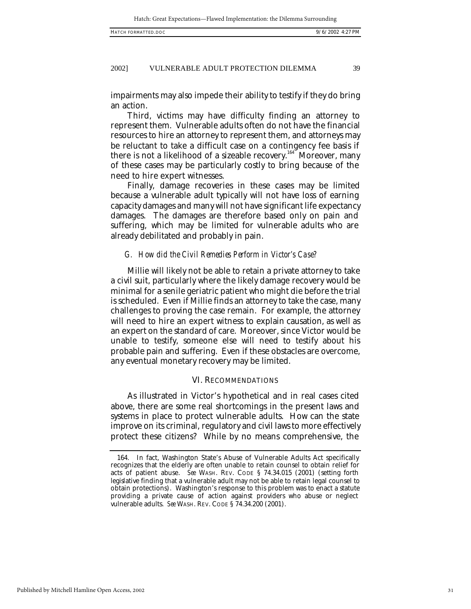impairments may also impede their ability to testify if they do bring an action.

Third, victims may have difficulty finding an attorney to represent them. Vulnerable adults often do not have the financial resources to hire an attorney to represent them, and attorneys may be reluctant to take a difficult case on a contingency fee basis if there is not a likelihood of a sizeable recovery.<sup>164</sup> Moreover, many of these cases may be particularly costly to bring because of the need to hire expert witnesses.

Finally, damage recoveries in these cases may be limited because a vulnerable adult typically will not have loss of earning capacity damages and many will not have significant life expectancy damages. The damages are therefore based only on pain and suffering, which may be limited for vulnerable adults who are already debilitated and probably in pain.

#### *G. How did the Civil Remedies Perform in Victor's Case?*

Millie will likely not be able to retain a private attorney to take a civil suit, particularly where the likely damage recovery would be minimal for a senile geriatric patient who might die before the trial is scheduled. Even if Millie finds an attorney to take the case, many challenges to proving the case remain. For example, the attorney will need to hire an expert witness to explain causation, as well as an expert on the standard of care. Moreover, since Victor would be unable to testify, someone else will need to testify about his probable pain and suffering. Even if these obstacles are overcome, any eventual monetary recovery may be limited.

## VI. RECOMMENDATIONS

As illustrated in Victor's hypothetical and in real cases cited above, there are some real shortcomings in the present laws and systems in place to protect vulnerable adults. How can the state improve on its criminal, regulatory and civil laws to more effectively protect these citizens? While by no means comprehensive, the

<sup>164.</sup> In fact, Washington State's Abuse of Vulnerable Adults Act specifically recognizes that the elderly are often unable to retain counsel to obtain relief for acts of patient abuse. *See* WASH. REV. CODE § 74.34.015 (2001) (setting forth legislative finding that a vulnerable adult may not be able to retain legal counsel to obtain protections). Washington's response to this problem was to enact a statute providing a private cause of action against providers who abuse or neglect vulnerable adults. *See* WASH. REV. CODE § 74.34.200 (2001).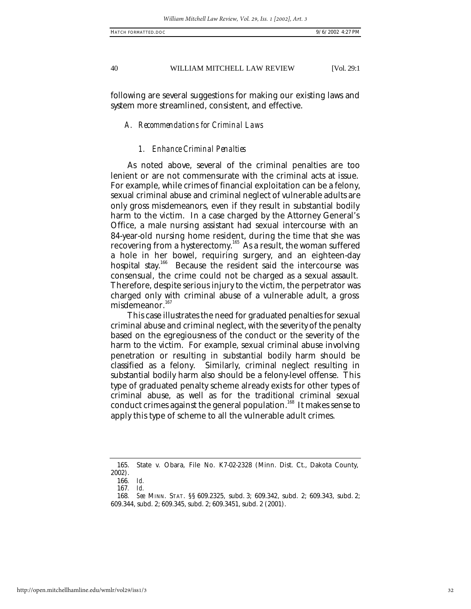following are several suggestions for making our existing laws and system more streamlined, consistent, and effective.

#### *A. Recommendations for Criminal Laws*

## *1. Enhance Criminal Penalties*

As noted above, several of the criminal penalties are too lenient or are not commensurate with the criminal acts at issue. For example, while crimes of financial exploitation can be a felony, sexual criminal abuse and criminal neglect of vulnerable adults are only gross misdemeanors, even if they result in substantial bodily harm to the victim. In a case charged by the Attorney General's Office, a male nursing assistant had sexual intercourse with an 84-year-old nursing home resident, during the time that she was recovering from a hysterectomy.<sup>165</sup> As a result, the woman suffered a hole in her bowel, requiring surgery, and an eighteen-day hospital stay.<sup>166</sup> Because the resident said the intercourse was consensual, the crime could not be charged as a sexual assault. Therefore, despite serious injury to the victim, the perpetrator was charged only with criminal abuse of a vulnerable adult, a gross misdemeanor.<sup>167</sup>

This case illustrates the need for graduated penalties for sexual criminal abuse and criminal neglect, with the severity of the penalty based on the egregiousness of the conduct or the severity of the harm to the victim. For example, sexual criminal abuse involving penetration or resulting in substantial bodily harm should be classified as a felony. Similarly, criminal neglect resulting in substantial bodily harm also should be a felony-level offense. This type of graduated penalty scheme already exists for other types of criminal abuse, as well as for the traditional criminal sexual conduct crimes against the general population.<sup>168</sup> It makes sense to apply this type of scheme to all the vulnerable adult crimes.

<sup>165.</sup> State v. Obara, File No. K7-02-2328 (Minn. Dist. Ct., Dakota County, 2002).

<sup>166</sup>*. Id.*

<sup>167</sup>*. Id.*

<sup>168</sup>*. See* MINN. STAT. §§ 609.2325, subd. 3; 609.342, subd. 2; 609.343, subd. 2; 609.344, subd. 2; 609.345, subd. 2; 609.3451, subd. 2 (2001).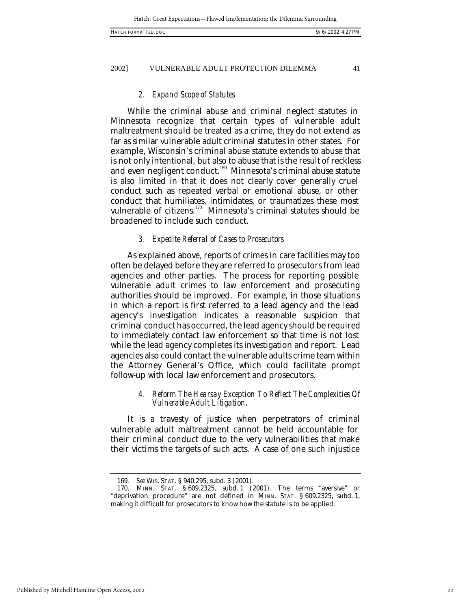# *2. Expand Scope of Statutes*

While the criminal abuse and criminal neglect statutes in Minnesota recognize that certain types of vulnerable adult maltreatment should be treated as a crime, they do not extend as far as similar vulnerable adult criminal statutes in other states. For example, Wisconsin's criminal abuse statute extends to abuse that is not only intentional, but also to abuse that is the result of reckless and even negligent conduct.<sup>169</sup> Minnesota's criminal abuse statute is also limited in that it does not clearly cover generally cruel conduct such as repeated verbal or emotional abuse, or other conduct that humiliates, intimidates, or traumatizes these most vulnerable of citizens.<sup>170</sup> Minnesota's criminal statutes should be broadened to include such conduct.

#### *3. Expedite Referral of Cases to Prosecutors*

As explained above, reports of crimes in care facilities may too often be delayed before they are referred to prosecutors from lead agencies and other parties. The process for reporting possible vulnerable adult crimes to law enforcement and prosecuting authorities should be improved. For example, in those situations in which a report is first referred to a lead agency and the lead agency's investigation indicates a reasonable suspicion that criminal conduct has occurred, the lead agency should be required to immediately contact law enforcement so that time is not lost while the lead agency completes its investigation and report. Lead agencies also could contact the vulnerable adults crime team within the Attorney General's Office, which could facilitate prompt follow-up with local law enforcement and prosecutors.

## *4. Reform The Hearsay Exception To Reflect The Complexities Of Vulnerable Adult Litigation.*

It is a travesty of justice when perpetrators of criminal vulnerable adult maltreatment cannot be held accountable for their criminal conduct due to the very vulnerabilities that make their victims the targets of such acts. A case of one such injustice

<sup>169</sup>*. See* WIS. STAT. § 940.295, subd. 3 (2001).

<sup>170.</sup> MINN. STAT. § 609.2325, subd. 1 (2001). The terms "aversive" or "deprivation procedure" are not defined in MINN. STAT. § 609.2325, subd. 1, making it difficult for prosecutors to know how the statute is to be applied.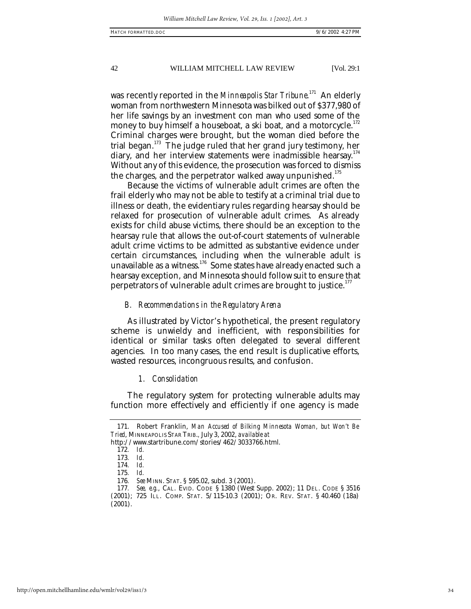was recently reported in the *Minneapolis Star Tribune*. <sup>171</sup> An elderly woman from northwestern Minnesota was bilked out of \$377,980 of her life savings by an investment con man who used some of the money to buy himself a houseboat, a ski boat, and a motorcycle.<sup>172</sup> Criminal charges were brought, but the woman died before the trial began.<sup>173</sup> The judge ruled that her grand jury testimony, her diary, and her interview statements were inadmissible hearsay.<sup>174</sup> Without any of this evidence, the prosecution was forced to dismiss the charges, and the perpetrator walked away unpunished. $175$ 

Because the victims of vulnerable adult crimes are often the frail elderly who may not be able to testify at a criminal trial due to illness or death, the evidentiary rules regarding hearsay should be relaxed for prosecution of vulnerable adult crimes. As already exists for child abuse victims, there should be an exception to the hearsay rule that allows the out-of-court statements of vulnerable adult crime victims to be admitted as substantive evidence under certain circumstances, including when the vulnerable adult is unavailable as a witness.<sup>176</sup> Some states have already enacted such a hearsay exception, and Minnesota should follow suit to ensure that perpetrators of vulnerable adult crimes are brought to justice. $177$ 

## *B. Recommendations in the Regulatory Arena*

As illustrated by Victor's hypothetical, the present regulatory scheme is unwieldy and inefficient, with responsibilities for identical or similar tasks often delegated to several different agencies. In too many cases, the end result is duplicative efforts, wasted resources, incongruous results, and confusion.

#### *1. Consolidation*

The regulatory system for protecting vulnerable adults may function more effectively and efficiently if one agency is made

http://www.startribune.com/stories/462/3033766.html.

<sup>171.</sup> Robert Franklin, *Man Accused of Bilking Minnesota Woman, but Won't Be Tried*, MINNEAPOLIS STAR TRIB.*,* July 3, 2002, *available at*

<sup>172</sup>*. Id.*

<sup>173</sup>*. Id.*

<sup>174</sup>*. Id.*

<sup>175</sup>*. Id.*

<sup>176</sup>*. See* MINN. STAT. § 595.02, subd. 3 (2001).

<sup>177</sup>*. See, e.g.*, CAL. EVID. CODE § 1380 (West Supp. 2002); 11 DEL. CODE § 3516 (2001); 725 ILL. COMP. STAT. 5/115-10.3 (2001); OR. REV. STAT. § 40.460 (18a) (2001).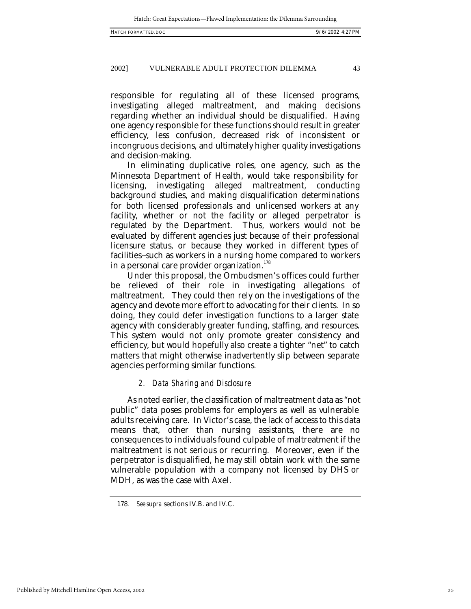responsible for regulating all of these licensed programs, investigating alleged maltreatment, and making decisions regarding whether an individual should be disqualified. Having one agency responsible for these functions should result in greater efficiency, less confusion, decreased risk of inconsistent or incongruous decisions, and ultimately higher quality investigations and decision-making.

In eliminating duplicative roles, one agency, such as the Minnesota Department of Health, would take responsibility for licensing, investigating alleged maltreatment, conducting background studies, and making disqualification determinations for both licensed professionals and unlicensed workers at any facility, whether or not the facility or alleged perpetrator is regulated by the Department. Thus, workers would not be evaluated by different agencies just because of their professional licensure status, or because they worked in different types of facilities--such as workers in a nursing home compared to workers in a personal care provider organization.<sup>178</sup>

Under this proposal, the Ombudsmen's offices could further be relieved of their role in investigating allegations of maltreatment. They could then rely on the investigations of the agency and devote more effort to advocating for their clients. In so doing, they could defer investigation functions to a larger state agency with considerably greater funding, staffing, and resources. This system would not only promote greater consistency and efficiency, but would hopefully also create a tighter "net" to catch matters that might otherwise inadvertently slip between separate agencies performing similar functions.

#### *2. Data Sharing and Disclosure*

As noted earlier, the classification of maltreatment data as "not public" data poses problems for employers as well as vulnerable adults receiving care. In Victor's case, the lack of access to this data means that, other than nursing assistants, there are no consequences to individuals found culpable of maltreatment if the maltreatment is not serious or recurring. Moreover, even if the perpetrator is disqualified, he may still obtain work with the same vulnerable population with a company not licensed by DHS or MDH, as was the case with Axel.

<sup>178</sup>*. See supra* sections IV.B. and IV.C.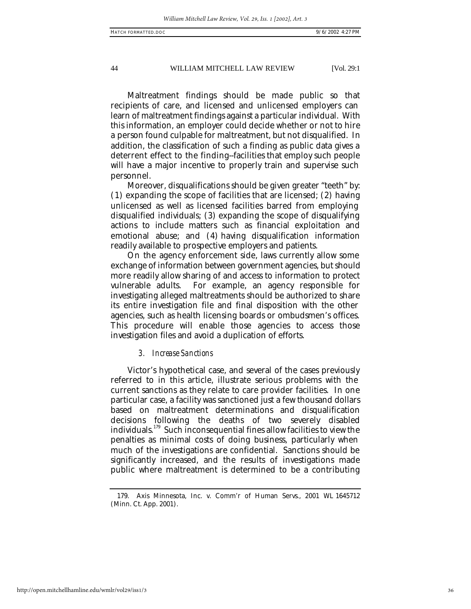Maltreatment findings should be made public so that recipients of care, and licensed and unlicensed employers can learn of maltreatment findings against a particular individual. With this information, an employer could decide whether or not to hire a person found culpable for maltreatment, but not disqualified. In addition, the classification of such a finding as public data gives a deterrent effect to the finding--facilities that employ such people will have a major incentive to properly train and supervise such personnel.

Moreover, disqualifications should be given greater "teeth" by: (1) expanding the scope of facilities that are licensed; (2) having unlicensed as well as licensed facilities barred from employing disqualified individuals; (3) expanding the scope of disqualifying actions to include matters such as financial exploitation and emotional abuse; and (4) having disqualification information readily available to prospective employers and patients.

On the agency enforcement side, laws currently allow some exchange of information between government agencies, but should more readily allow sharing of and access to information to protect vulnerable adults. For example, an agency responsible for investigating alleged maltreatments should be authorized to share its entire investigation file and final disposition with the other agencies, such as health licensing boards or ombudsmen's offices. This procedure will enable those agencies to access those investigation files and avoid a duplication of efforts.

#### *3. Increase Sanctions*

Victor's hypothetical case, and several of the cases previously referred to in this article, illustrate serious problems with the current sanctions as they relate to care provider facilities. In one particular case, a facility was sanctioned just a few thousand dollars based on maltreatment determinations and disqualification decisions following the deaths of two severely disabled individuals.<sup>179</sup> Such inconsequential fines allow facilities to view the penalties as minimal costs of doing business, particularly when much of the investigations are confidential. Sanctions should be significantly increased, and the results of investigations made public where maltreatment is determined to be a contributing

<sup>179.</sup> Axis Minnesota, Inc. v. Comm'r of Human Servs., 2001 WL 1645712 (Minn. Ct. App. 2001).